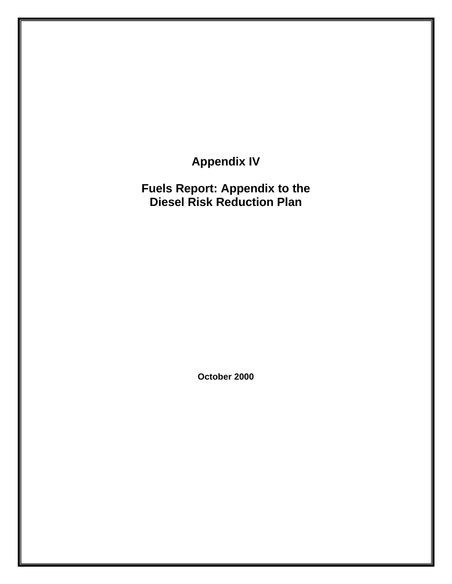**Appendix IV** 

**Fuels Report: Appendix to the Diesel Risk Reduction Plan** 

**October 2000**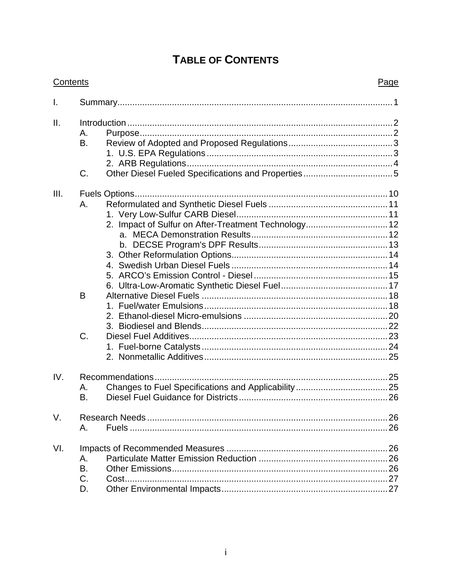# **TABLE OF CONTENTS**

|      | <b>Contents</b>                                                             | Page |
|------|-----------------------------------------------------------------------------|------|
| I.   |                                                                             |      |
| II.  | Α.<br>B.                                                                    |      |
|      | C.                                                                          |      |
| III. | Α.<br>2. Impact of Sulfur on After-Treatment Technology 12<br>B<br>3.<br>C. |      |
| IV.  | А.<br>Β.                                                                    |      |
| V.   | А.                                                                          |      |
| VI.  | Α.<br>B.<br>C.<br>D.                                                        |      |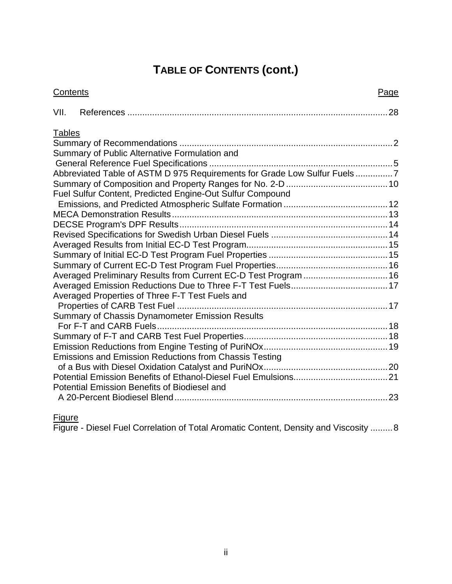# **TABLE OF CONTENTS (cont.)**

|               | Contents                                                                 | Page |
|---------------|--------------------------------------------------------------------------|------|
| VII.          |                                                                          |      |
| <b>Tables</b> |                                                                          |      |
|               |                                                                          |      |
|               | Summary of Public Alternative Formulation and                            |      |
|               | Abbreviated Table of ASTM D 975 Requirements for Grade Low Sulfur Fuels7 |      |
|               |                                                                          |      |
|               | Fuel Sulfur Content, Predicted Engine-Out Sulfur Compound                |      |
|               |                                                                          |      |
|               |                                                                          |      |
|               |                                                                          |      |
|               |                                                                          |      |
|               |                                                                          |      |
|               |                                                                          |      |
|               |                                                                          |      |
|               | Averaged Preliminary Results from Current EC-D Test Program  16          |      |
|               |                                                                          |      |
|               | Averaged Properties of Three F-T Test Fuels and                          |      |
|               | Summary of Chassis Dynamometer Emission Results                          |      |
|               |                                                                          |      |
|               |                                                                          |      |
|               |                                                                          |      |
|               | <b>Emissions and Emission Reductions from Chassis Testing</b>            |      |
|               |                                                                          |      |
|               |                                                                          |      |
|               | Potential Emission Benefits of Biodiesel and                             |      |
|               |                                                                          |      |
|               |                                                                          |      |

Figure

Figure - Diesel Fuel Correlation of Total Aromatic Content, Density and Viscosity .........8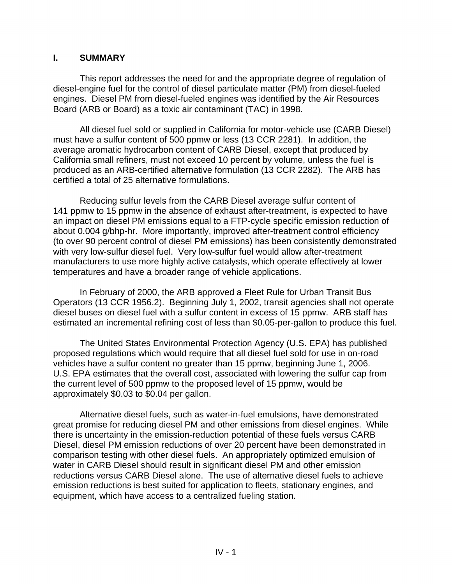## **I. SUMMARY**

This report addresses the need for and the appropriate degree of regulation of diesel-engine fuel for the control of diesel particulate matter (PM) from diesel-fueled engines. Diesel PM from diesel-fueled engines was identified by the Air Resources Board (ARB or Board) as a toxic air contaminant (TAC) in 1998.

All diesel fuel sold or supplied in California for motor-vehicle use (CARB Diesel) must have a sulfur content of 500 ppmw or less (13 CCR 2281). In addition, the average aromatic hydrocarbon content of CARB Diesel, except that produced by California small refiners, must not exceed 10 percent by volume, unless the fuel is produced as an ARB-certified alternative formulation (13 CCR 2282). The ARB has certified a total of 25 alternative formulations.

Reducing sulfur levels from the CARB Diesel average sulfur content of 141 ppmw to 15 ppmw in the absence of exhaust after-treatment, is expected to have an impact on diesel PM emissions equal to a FTP-cycle specific emission reduction of about 0.004 g/bhp-hr. More importantly, improved after-treatment control efficiency (to over 90 percent control of diesel PM emissions) has been consistently demonstrated with very low-sulfur diesel fuel. Very low-sulfur fuel would allow after-treatment manufacturers to use more highly active catalysts, which operate effectively at lower temperatures and have a broader range of vehicle applications.

In February of 2000, the ARB approved a Fleet Rule for Urban Transit Bus Operators (13 CCR 1956.2). Beginning July 1, 2002, transit agencies shall not operate diesel buses on diesel fuel with a sulfur content in excess of 15 ppmw. ARB staff has estimated an incremental refining cost of less than \$0.05-per-gallon to produce this fuel.

The United States Environmental Protection Agency (U.S. EPA) has published proposed regulations which would require that all diesel fuel sold for use in on-road vehicles have a sulfur content no greater than 15 ppmw, beginning June 1, 2006. U.S. EPA estimates that the overall cost, associated with lowering the sulfur cap from the current level of 500 ppmw to the proposed level of 15 ppmw, would be approximately \$0.03 to \$0.04 per gallon.

Alternative diesel fuels, such as water-in-fuel emulsions, have demonstrated great promise for reducing diesel PM and other emissions from diesel engines. While there is uncertainty in the emission-reduction potential of these fuels versus CARB Diesel, diesel PM emission reductions of over 20 percent have been demonstrated in comparison testing with other diesel fuels. An appropriately optimized emulsion of water in CARB Diesel should result in significant diesel PM and other emission reductions versus CARB Diesel alone. The use of alternative diesel fuels to achieve emission reductions is best suited for application to fleets, stationary engines, and equipment, which have access to a centralized fueling station.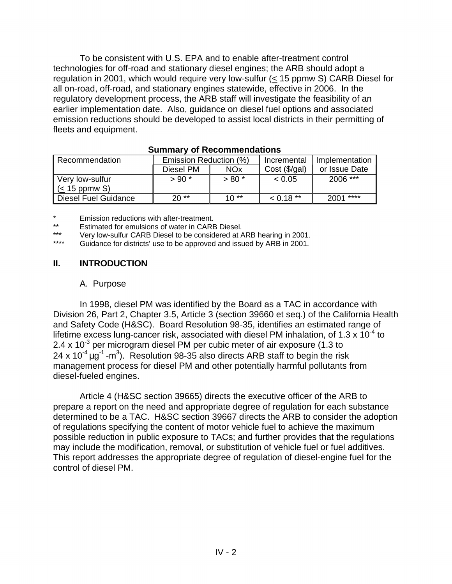To be consistent with U.S. EPA and to enable after-treatment control technologies for off-road and stationary diesel engines; the ARB should adopt a regulation in 2001, which would require very low-sulfur  $(< 15$  ppmw S) CARB Diesel for all on-road, off-road, and stationary engines statewide, effective in 2006. In the regulatory development process, the ARB staff will investigate the feasibility of an earlier implementation date. Also, guidance on diesel fuel options and associated emission reductions should be developed to assist local districts in their permitting of fleets and equipment.

| Recommendation        | Emission Reduction (%)  |         | Incremental                  | Implementation |  |  |  |
|-----------------------|-------------------------|---------|------------------------------|----------------|--|--|--|
|                       | Diesel PM<br><b>NOx</b> |         | $Cost (\sqrt{5}/\sqrt{gal})$ | or Issue Date  |  |  |  |
| ∥ Very low-sulfur     | $> 90*$                 | $> 80*$ | < 0.05                       | 2006 ***       |  |  |  |
| $\vert$ (< 15 ppmw S) |                         |         |                              |                |  |  |  |
| Diesel Fuel Guidance  | $20**$                  | $10**$  | $0.18**$                     | ****<br>2001   |  |  |  |

#### **Summary of Recommendations**

\* Emission reductions with after-treatment.<br>\*\* Fetimeted for emulgions of water in CARE

\*\* Estimated for emulsions of water in CARB Diesel.<br>\*\*\* Warehouse ultur CARB Diesel to be considered at A

\*\*\* Very low-sulfur CARB Diesel to be considered at ARB hearing in 2001.

Guidance for districts' use to be approved and issued by ARB in 2001.

## **II. INTRODUCTION**

#### A. Purpose

24 x 10<sup>-4</sup>  $\mu$ g<sup>-1</sup> -m<sup>3</sup>). Resolution 98-35 also directs ARB staff to begin the risk In 1998, diesel PM was identified by the Board as a TAC in accordance with Division 26, Part 2, Chapter 3.5, Article 3 (section 39660 et seq.) of the California Health and Safety Code (H&SC). Board Resolution 98-35, identifies an estimated range of lifetime excess lung-cancer risk, associated with diesel PM inhalation, of 1.3 x  $10^{-4}$  to 2.4 x  $10^{-3}$  per microgram diesel PM per cubic meter of air exposure (1.3 to management process for diesel PM and other potentially harmful pollutants from diesel-fueled engines.

Article 4 (H&SC section 39665) directs the executive officer of the ARB to prepare a report on the need and appropriate degree of regulation for each substance determined to be a TAC. H&SC section 39667 directs the ARB to consider the adoption of regulations specifying the content of motor vehicle fuel to achieve the maximum possible reduction in public exposure to TACs; and further provides that the regulations may include the modification, removal, or substitution of vehicle fuel or fuel additives. This report addresses the appropriate degree of regulation of diesel-engine fuel for the control of diesel PM.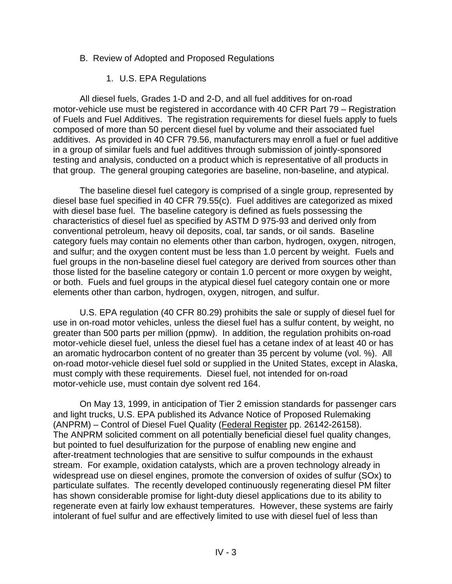- B. Review of Adopted and Proposed Regulations
	- 1. U.S. EPA Regulations

All diesel fuels, Grades 1-D and 2-D, and all fuel additives for on-road motor-vehicle use must be registered in accordance with 40 CFR Part 79 – Registration of Fuels and Fuel Additives. The registration requirements for diesel fuels apply to fuels composed of more than 50 percent diesel fuel by volume and their associated fuel additives. As provided in 40 CFR 79.56, manufacturers may enroll a fuel or fuel additive in a group of similar fuels and fuel additives through submission of jointly-sponsored testing and analysis, conducted on a product which is representative of all products in that group. The general grouping categories are baseline, non-baseline, and atypical.

The baseline diesel fuel category is comprised of a single group, represented by diesel base fuel specified in 40 CFR 79.55(c). Fuel additives are categorized as mixed with diesel base fuel. The baseline category is defined as fuels possessing the characteristics of diesel fuel as specified by ASTM D 975-93 and derived only from conventional petroleum, heavy oil deposits, coal, tar sands, or oil sands. Baseline category fuels may contain no elements other than carbon, hydrogen, oxygen, nitrogen, and sulfur; and the oxygen content must be less than 1.0 percent by weight. Fuels and fuel groups in the non-baseline diesel fuel category are derived from sources other than those listed for the baseline category or contain 1.0 percent or more oxygen by weight, or both. Fuels and fuel groups in the atypical diesel fuel category contain one or more elements other than carbon, hydrogen, oxygen, nitrogen, and sulfur.

U.S. EPA regulation (40 CFR 80.29) prohibits the sale or supply of diesel fuel for use in on-road motor vehicles, unless the diesel fuel has a sulfur content, by weight, no greater than 500 parts per million (ppmw). In addition, the regulation prohibits on-road motor-vehicle diesel fuel, unless the diesel fuel has a cetane index of at least 40 or has an aromatic hydrocarbon content of no greater than 35 percent by volume (vol. %). All on-road motor-vehicle diesel fuel sold or supplied in the United States, except in Alaska, must comply with these requirements. Diesel fuel, not intended for on-road motor-vehicle use, must contain dye solvent red 164.

On May 13, 1999, in anticipation of Tier 2 emission standards for passenger cars and light trucks, U.S. EPA published its Advance Notice of Proposed Rulemaking (ANPRM) – Control of Diesel Fuel Quality (Federal Register pp. 26142-26158). The ANPRM solicited comment on all potentially beneficial diesel fuel quality changes, but pointed to fuel desulfurization for the purpose of enabling new engine and after-treatment technologies that are sensitive to sulfur compounds in the exhaust stream. For example, oxidation catalysts, which are a proven technology already in widespread use on diesel engines, promote the conversion of oxides of sulfur (SOx) to particulate sulfates. The recently developed continuously regenerating diesel PM filter has shown considerable promise for light-duty diesel applications due to its ability to regenerate even at fairly low exhaust temperatures. However, these systems are fairly intolerant of fuel sulfur and are effectively limited to use with diesel fuel of less than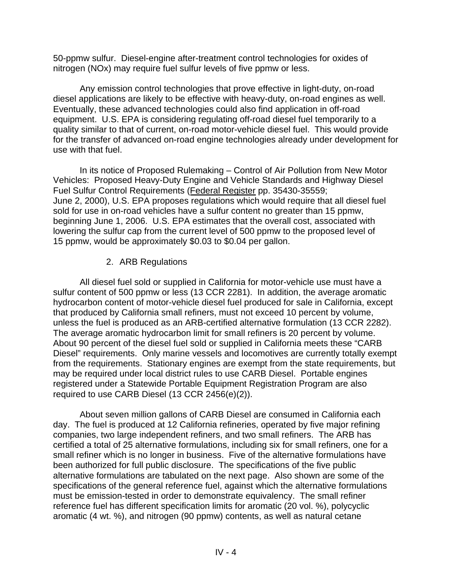50-ppmw sulfur. Diesel-engine after-treatment control technologies for oxides of nitrogen (NOx) may require fuel sulfur levels of five ppmw or less.

Any emission control technologies that prove effective in light-duty, on-road diesel applications are likely to be effective with heavy-duty, on-road engines as well. Eventually, these advanced technologies could also find application in off-road equipment. U.S. EPA is considering regulating off-road diesel fuel temporarily to a quality similar to that of current, on-road motor-vehicle diesel fuel. This would provide for the transfer of advanced on-road engine technologies already under development for use with that fuel.

In its notice of Proposed Rulemaking – Control of Air Pollution from New Motor Vehicles: Proposed Heavy-Duty Engine and Vehicle Standards and Highway Diesel Fuel Sulfur Control Requirements (Federal Register pp. 35430-35559; June 2, 2000), U.S. EPA proposes regulations which would require that all diesel fuel sold for use in on-road vehicles have a sulfur content no greater than 15 ppmw, beginning June 1, 2006. U.S. EPA estimates that the overall cost, associated with lowering the sulfur cap from the current level of 500 ppmw to the proposed level of 15 ppmw, would be approximately \$0.03 to \$0.04 per gallon.

## 2. ARB Regulations

All diesel fuel sold or supplied in California for motor-vehicle use must have a sulfur content of 500 ppmw or less (13 CCR 2281). In addition, the average aromatic hydrocarbon content of motor-vehicle diesel fuel produced for sale in California, except that produced by California small refiners, must not exceed 10 percent by volume, unless the fuel is produced as an ARB-certified alternative formulation (13 CCR 2282). The average aromatic hydrocarbon limit for small refiners is 20 percent by volume. About 90 percent of the diesel fuel sold or supplied in California meets these "CARB Diesel" requirements. Only marine vessels and locomotives are currently totally exempt from the requirements. Stationary engines are exempt from the state requirements, but may be required under local district rules to use CARB Diesel. Portable engines registered under a Statewide Portable Equipment Registration Program are also required to use CARB Diesel (13 CCR 2456(e)(2)).

About seven million gallons of CARB Diesel are consumed in California each day. The fuel is produced at 12 California refineries, operated by five major refining companies, two large independent refiners, and two small refiners. The ARB has certified a total of 25 alternative formulations, including six for small refiners, one for a small refiner which is no longer in business. Five of the alternative formulations have been authorized for full public disclosure. The specifications of the five public alternative formulations are tabulated on the next page. Also shown are some of the specifications of the general reference fuel, against which the alternative formulations must be emission-tested in order to demonstrate equivalency. The small refiner reference fuel has different specification limits for aromatic (20 vol. %), polycyclic aromatic (4 wt. %), and nitrogen (90 ppmw) contents, as well as natural cetane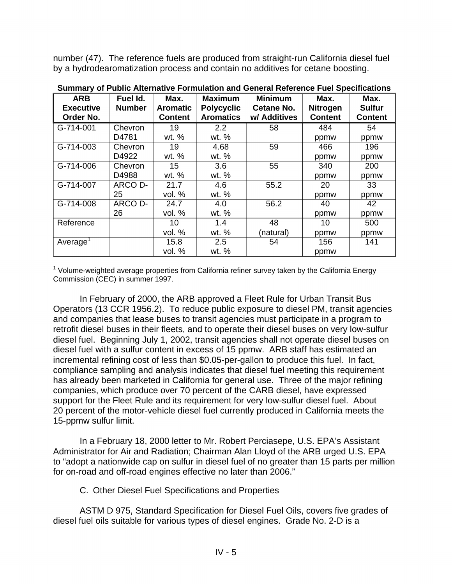number (47). The reference fuels are produced from straight-run California diesel fuel by a hydrodearomatization process and contain no additives for cetane boosting.

| <b>ARB</b>                    | Fuel Id.      | Max.                              | <b>Maximum</b>                        | <b>Minimum</b>                    | Max.                              | Max.                            |
|-------------------------------|---------------|-----------------------------------|---------------------------------------|-----------------------------------|-----------------------------------|---------------------------------|
| <b>Executive</b><br>Order No. | <b>Number</b> | <b>Aromatic</b><br><b>Content</b> | <b>Polycyclic</b><br><b>Aromatics</b> | <b>Cetane No.</b><br>w/ Additives | <b>Nitrogen</b><br><b>Content</b> | <b>Sulfur</b><br><b>Content</b> |
| G-714-001                     | Chevron       | 19                                | 2.2                                   |                                   |                                   |                                 |
|                               |               |                                   |                                       | 58                                | 484                               | 54                              |
|                               | D4781         | wt. %                             | wt. %                                 |                                   | ppmw                              | ppmw                            |
| G-714-003                     | Chevron       | 19                                | 4.68                                  | 59                                | 466                               | 196                             |
|                               | D4922         | wt. %                             | wt. %                                 |                                   | ppmw                              | ppmw                            |
| G-714-006                     | Chevron       | 15                                | 3.6                                   | 55                                | 340                               | 200                             |
|                               | D4988         | wt. %                             | wt. %                                 |                                   | ppmw                              | ppmw                            |
| G-714-007                     | ARCO D-       | 21.7                              | 4.6                                   | 55.2                              | 20                                | 33                              |
|                               | 25            | vol. %                            | wt. %                                 |                                   | ppmw                              | ppmw                            |
| G-714-008                     | ARCO D-       | 24.7                              | 4.0                                   | 56.2                              | 40                                | 42                              |
|                               | 26            | vol. %                            | wt. %                                 |                                   | ppmw                              | ppmw                            |
| Reference                     |               | 10                                | 1.4                                   | 48                                | 10                                | 500                             |
|                               |               | vol. %                            | wt. %                                 | (natural)                         | ppmw                              | ppmw                            |
| Average <sup>1</sup>          |               | 15.8                              | 2.5                                   | 54                                | 156                               | 141                             |
|                               |               | vol. %                            | wt. %                                 |                                   | ppmw                              |                                 |

**Summary of Public Alternative Formulation and General Reference Fuel Specifications** 

<sup>1</sup> Volume-weighted average properties from California refiner survey taken by the California Energy Commission (CEC) in summer 1997.

In February of 2000, the ARB approved a Fleet Rule for Urban Transit Bus Operators (13 CCR 1956.2). To reduce public exposure to diesel PM, transit agencies and companies that lease buses to transit agencies must participate in a program to retrofit diesel buses in their fleets, and to operate their diesel buses on very low-sulfur diesel fuel. Beginning July 1, 2002, transit agencies shall not operate diesel buses on diesel fuel with a sulfur content in excess of 15 ppmw. ARB staff has estimated an incremental refining cost of less than \$0.05-per-gallon to produce this fuel. In fact, compliance sampling and analysis indicates that diesel fuel meeting this requirement has already been marketed in California for general use. Three of the major refining companies, which produce over 70 percent of the CARB diesel, have expressed support for the Fleet Rule and its requirement for very low-sulfur diesel fuel. About 20 percent of the motor-vehicle diesel fuel currently produced in California meets the 15-ppmw sulfur limit.

In a February 18, 2000 letter to Mr. Robert Perciasepe, U.S. EPA's Assistant Administrator for Air and Radiation; Chairman Alan Lloyd of the ARB urged U.S. EPA to "adopt a nationwide cap on sulfur in diesel fuel of no greater than 15 parts per million for on-road and off-road engines effective no later than 2006."

C. Other Diesel Fuel Specifications and Properties

ASTM D 975, Standard Specification for Diesel Fuel Oils, covers five grades of diesel fuel oils suitable for various types of diesel engines. Grade No. 2-D is a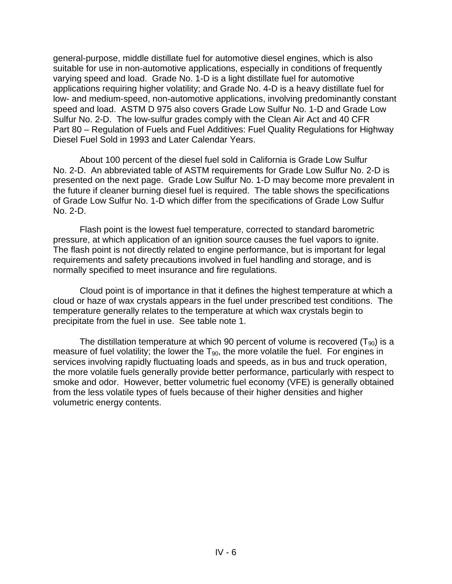general-purpose, middle distillate fuel for automotive diesel engines, which is also suitable for use in non-automotive applications, especially in conditions of frequently varying speed and load. Grade No. 1-D is a light distillate fuel for automotive applications requiring higher volatility; and Grade No. 4-D is a heavy distillate fuel for low- and medium-speed, non-automotive applications, involving predominantly constant speed and load. ASTM D 975 also covers Grade Low Sulfur No. 1-D and Grade Low Sulfur No. 2-D. The low-sulfur grades comply with the Clean Air Act and 40 CFR Part 80 – Regulation of Fuels and Fuel Additives: Fuel Quality Regulations for Highway Diesel Fuel Sold in 1993 and Later Calendar Years.

About 100 percent of the diesel fuel sold in California is Grade Low Sulfur No. 2-D. An abbreviated table of ASTM requirements for Grade Low Sulfur No. 2-D is presented on the next page. Grade Low Sulfur No. 1-D may become more prevalent in the future if cleaner burning diesel fuel is required. The table shows the specifications of Grade Low Sulfur No. 1-D which differ from the specifications of Grade Low Sulfur No. 2-D.

Flash point is the lowest fuel temperature, corrected to standard barometric pressure, at which application of an ignition source causes the fuel vapors to ignite. The flash point is not directly related to engine performance, but is important for legal requirements and safety precautions involved in fuel handling and storage, and is normally specified to meet insurance and fire regulations.

Cloud point is of importance in that it defines the highest temperature at which a cloud or haze of wax crystals appears in the fuel under prescribed test conditions. The temperature generally relates to the temperature at which wax crystals begin to precipitate from the fuel in use. See table note 1.

The distillation temperature at which 90 percent of volume is recovered  $(T_{90})$  is a measure of fuel volatility; the lower the  $T_{90}$ , the more volatile the fuel. For engines in services involving rapidly fluctuating loads and speeds, as in bus and truck operation, the more volatile fuels generally provide better performance, particularly with respect to smoke and odor. However, better volumetric fuel economy (VFE) is generally obtained from the less volatile types of fuels because of their higher densities and higher volumetric energy contents.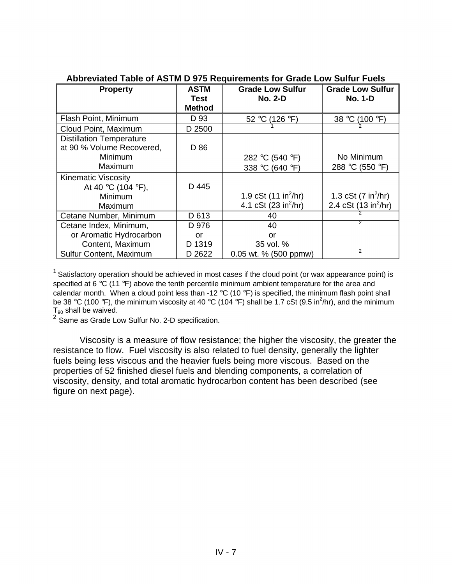| <b>Property</b>                 | ASTM                  | <b>Grade Low Sulfur</b>          | <b>Grade Low Sulfur</b>              |
|---------------------------------|-----------------------|----------------------------------|--------------------------------------|
|                                 | Test<br><b>Method</b> | <b>No. 2-D</b>                   | <b>No. 1-D</b>                       |
| Flash Point, Minimum            | D 93                  | 52 °C (126 °F)                   | 38 °C<br>(100 °F)                    |
| Cloud Point, Maximum            | D 2500                |                                  |                                      |
| <b>Distillation Temperature</b> |                       |                                  |                                      |
| at 90 % Volume Recovered,       | D 86                  |                                  |                                      |
| Minimum                         |                       | 282 °C (540 °F)                  | No Minimum                           |
| Maximum                         |                       | 338 °C (640 °F)                  | 288 °C (550 °F)                      |
| <b>Kinematic Viscosity</b>      |                       |                                  |                                      |
| At 40 °C (104 °F),              | D 445                 |                                  |                                      |
| Minimum                         |                       | 1.9 cSt $(11 in^2/hr)$           | 1.3 cSt $(7 \text{ in}^2/\text{hr})$ |
| Maximum                         |                       | 4.1 cSt (23 in <sup>2</sup> /hr) | 2.4 cSt (13 in $^{2}/$ hr)           |
| Cetane Number, Minimum          | D 613                 | 40                               |                                      |
| Cetane Index, Minimum,          | D 976                 | 40                               | 2                                    |
| or Aromatic Hydrocarbon         | or                    | or                               |                                      |
| Content, Maximum                | D 1319                | 35 vol. %                        |                                      |
| Sulfur Content, Maximum         | D 2622                | 0.05 wt. % (500 ppmw)            | $\overline{2}$                       |

#### **Abbreviated Table of ASTM D 975 Requirements for Grade Low Sulfur Fuels**

<sup>1</sup> Satisfactory operation should be achieved in most cases if the cloud point (or wax appearance point) is specified at 6  $\degree$ C (11  $\degree$ F) above the tenth percentile minimum ambient temperature for the area and calendar month. When a cloud point less than -12  $\degree$ C (10  $\degree$ F) is specified, the minimum flash point shall be 38 °C (100 °F), the minimum viscosity at 40 °C (104 °F) shall be 1.7 cSt (9.5 in<sup>2</sup>/hr), and the minimum  $T_{90}$  shall be waived.

<sup>2</sup> Same as Grade Low Sulfur No. 2-D specification.

Viscosity is a measure of flow resistance; the higher the viscosity, the greater the resistance to flow. Fuel viscosity is also related to fuel density, generally the lighter fuels being less viscous and the heavier fuels being more viscous. Based on the properties of 52 finished diesel fuels and blending components, a correlation of viscosity, density, and total aromatic hydrocarbon content has been described (see figure on next page).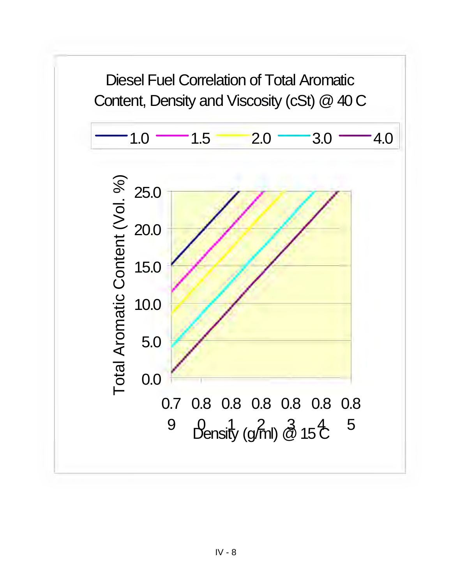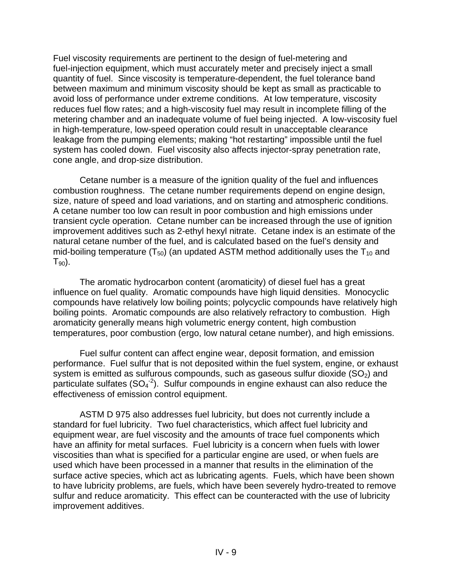Fuel viscosity requirements are pertinent to the design of fuel-metering and fuel-injection equipment, which must accurately meter and precisely inject a small quantity of fuel. Since viscosity is temperature-dependent, the fuel tolerance band between maximum and minimum viscosity should be kept as small as practicable to avoid loss of performance under extreme conditions. At low temperature, viscosity reduces fuel flow rates; and a high-viscosity fuel may result in incomplete filling of the metering chamber and an inadequate volume of fuel being injected. A low-viscosity fuel in high-temperature, low-speed operation could result in unacceptable clearance leakage from the pumping elements; making "hot restarting" impossible until the fuel system has cooled down. Fuel viscosity also affects injector-spray penetration rate, cone angle, and drop-size distribution.

Cetane number is a measure of the ignition quality of the fuel and influences combustion roughness. The cetane number requirements depend on engine design, size, nature of speed and load variations, and on starting and atmospheric conditions. A cetane number too low can result in poor combustion and high emissions under transient cycle operation. Cetane number can be increased through the use of ignition improvement additives such as 2-ethyl hexyl nitrate. Cetane index is an estimate of the natural cetane number of the fuel, and is calculated based on the fuel's density and mid-boiling temperature ( $T_{50}$ ) (an updated ASTM method additionally uses the  $T_{10}$  and  $T_{90}$ ).

The aromatic hydrocarbon content (aromaticity) of diesel fuel has a great influence on fuel quality. Aromatic compounds have high liquid densities. Monocyclic compounds have relatively low boiling points; polycyclic compounds have relatively high boiling points. Aromatic compounds are also relatively refractory to combustion. High aromaticity generally means high volumetric energy content, high combustion temperatures, poor combustion (ergo, low natural cetane number), and high emissions.

Fuel sulfur content can affect engine wear, deposit formation, and emission performance. Fuel sulfur that is not deposited within the fuel system, engine, or exhaust system is emitted as sulfurous compounds, such as gaseous sulfur dioxide  $(SO<sub>2</sub>)$  and particulate sulfates  $(SO_4^2)$ . Sulfur compounds in engine exhaust can also reduce the effectiveness of emission control equipment.

ASTM D 975 also addresses fuel lubricity, but does not currently include a standard for fuel lubricity. Two fuel characteristics, which affect fuel lubricity and equipment wear, are fuel viscosity and the amounts of trace fuel components which have an affinity for metal surfaces. Fuel lubricity is a concern when fuels with lower viscosities than what is specified for a particular engine are used, or when fuels are used which have been processed in a manner that results in the elimination of the surface active species, which act as lubricating agents. Fuels, which have been shown to have lubricity problems, are fuels, which have been severely hydro-treated to remove sulfur and reduce aromaticity. This effect can be counteracted with the use of lubricity improvement additives.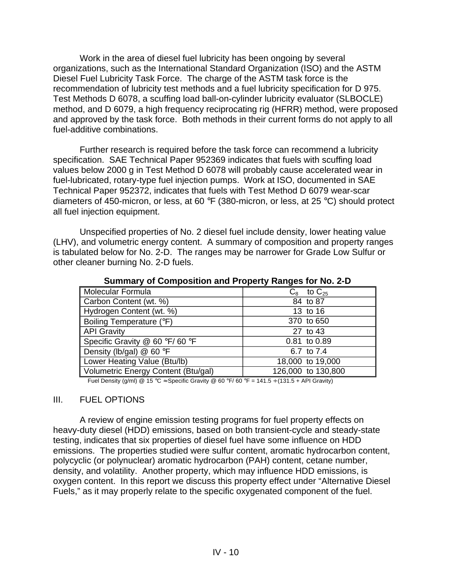Work in the area of diesel fuel lubricity has been ongoing by several organizations, such as the International Standard Organization (ISO) and the ASTM Diesel Fuel Lubricity Task Force. The charge of the ASTM task force is the recommendation of lubricity test methods and a fuel lubricity specification for D 975. Test Methods D 6078, a scuffing load ball-on-cylinder lubricity evaluator (SLBOCLE) method, and D 6079, a high frequency reciprocating rig (HFRR) method, were proposed and approved by the task force. Both methods in their current forms do not apply to all fuel-additive combinations.

Further research is required before the task force can recommend a lubricity specification. SAE Technical Paper 952369 indicates that fuels with scuffing load values below 2000 g in Test Method D 6078 will probably cause accelerated wear in fuel-lubricated, rotary-type fuel injection pumps. Work at ISO, documented in SAE Technical Paper 952372, indicates that fuels with Test Method D 6079 wear-scar diameters of 450-micron, or less, at 60 °F (380-micron, or less, at 25 °C) should protect all fuel injection equipment.

Unspecified properties of No. 2 diesel fuel include density, lower heating value (LHV), and volumetric energy content. A summary of composition and property ranges is tabulated below for No. 2-D. The ranges may be narrower for Grade Low Sulfur or other cleaner burning No. 2-D fuels.

| Molecular Formula                                                                                                                                                                                                                       | to $\rm{C_{25}}$<br>$C_{8}$ |
|-----------------------------------------------------------------------------------------------------------------------------------------------------------------------------------------------------------------------------------------|-----------------------------|
| Carbon Content (wt. %)                                                                                                                                                                                                                  | 84 to 87                    |
| Hydrogen Content (wt. %)                                                                                                                                                                                                                | 13 to 16                    |
| Boiling Temperature (°F)                                                                                                                                                                                                                | 370 to 650                  |
| <b>API Gravity</b>                                                                                                                                                                                                                      | 27 to 43                    |
| Specific Gravity @ 60 °F/60 °F                                                                                                                                                                                                          | 0.81 to 0.89                |
| Density (lb/gal) $@$ 60 °F                                                                                                                                                                                                              | 6.7 to 7.4                  |
| Lower Heating Value (Btu/lb)                                                                                                                                                                                                            | 18,000 to 19,000            |
| Volumetric Energy Content (Btu/gal)                                                                                                                                                                                                     | 126,000 to 130,800          |
| $\Gamma_{\text{total}}$ $\Gamma_{\text{non-int}}$ $\Gamma_{\text{non-int}}$ $\Omega_{\text{non-int}}$ $\Omega_{\text{non-int}}$ $\Omega_{\text{non-int}}$ $\Omega_{\text{non-int}}$ $\Omega_{\text{non-int}}$ $\Gamma_{\text{non-int}}$ |                             |

**Summary of Composition and Property Ranges for No. 2-D** 

Fuel Density (g/ml) @ 15 °C  $\approx$  Specific Gravity @ 60 °F/ 60 °F = 141.5  $\div$  (131.5 + API Gravity)

#### III. FUEL OPTIONS

A review of engine emission testing programs for fuel property effects on heavy-duty diesel (HDD) emissions, based on both transient-cycle and steady-state testing, indicates that six properties of diesel fuel have some influence on HDD emissions. The properties studied were sulfur content, aromatic hydrocarbon content, polycyclic (or polynuclear) aromatic hydrocarbon (PAH) content, cetane number, density, and volatility. Another property, which may influence HDD emissions, is oxygen content. In this report we discuss this property effect under "Alternative Diesel Fuels," as it may properly relate to the specific oxygenated component of the fuel.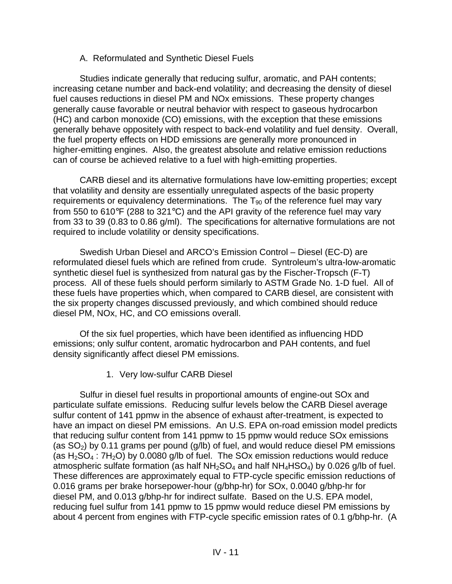#### A. Reformulated and Synthetic Diesel Fuels

Studies indicate generally that reducing sulfur, aromatic, and PAH contents; increasing cetane number and back-end volatility; and decreasing the density of diesel fuel causes reductions in diesel PM and NOx emissions. These property changes generally cause favorable or neutral behavior with respect to gaseous hydrocarbon (HC) and carbon monoxide (CO) emissions, with the exception that these emissions generally behave oppositely with respect to back-end volatility and fuel density. Overall, the fuel property effects on HDD emissions are generally more pronounced in higher-emitting engines. Also, the greatest absolute and relative emission reductions can of course be achieved relative to a fuel with high-emitting properties.

CARB diesel and its alternative formulations have low-emitting properties; except that volatility and density are essentially unregulated aspects of the basic property requirements or equivalency determinations. The  $T_{90}$  of the reference fuel may vary from 550 to 610°F (288 to 321°C) and the API gravity of the reference fuel may vary from 33 to 39 (0.83 to 0.86 g/ml). The specifications for alternative formulations are not required to include volatility or density specifications.

Swedish Urban Diesel and ARCO's Emission Control – Diesel (EC-D) are reformulated diesel fuels which are refined from crude. Syntroleum's ultra-low-aromatic synthetic diesel fuel is synthesized from natural gas by the Fischer-Tropsch (F-T) process. All of these fuels should perform similarly to ASTM Grade No. 1-D fuel. All of these fuels have properties which, when compared to CARB diesel, are consistent with the six property changes discussed previously, and which combined should reduce diesel PM, NOx, HC, and CO emissions overall.

Of the six fuel properties, which have been identified as influencing HDD emissions; only sulfur content, aromatic hydrocarbon and PAH contents, and fuel density significantly affect diesel PM emissions.

1. Very low-sulfur CARB Diesel

Sulfur in diesel fuel results in proportional amounts of engine-out SOx and particulate sulfate emissions. Reducing sulfur levels below the CARB Diesel average sulfur content of 141 ppmw in the absence of exhaust after-treatment, is expected to have an impact on diesel PM emissions. An U.S. EPA on-road emission model predicts that reducing sulfur content from 141 ppmw to 15 ppmw would reduce SOx emissions (as  $SO<sub>2</sub>$ ) by 0.11 grams per pound (g/lb) of fuel, and would reduce diesel PM emissions (as  $H_2SO_4$ : 7 $H_2O$ ) by 0.0080 g/lb of fuel. The SOx emission reductions would reduce atmospheric sulfate formation (as half  $NH<sub>2</sub>SO<sub>4</sub>$  and half  $NH<sub>4</sub>HSO<sub>4</sub>$ ) by 0.026 g/lb of fuel. These differences are approximately equal to FTP-cycle specific emission reductions of 0.016 grams per brake horsepower-hour (g/bhp-hr) for SOx, 0.0040 g/bhp-hr for diesel PM, and 0.013 g/bhp-hr for indirect sulfate. Based on the U.S. EPA model, reducing fuel sulfur from 141 ppmw to 15 ppmw would reduce diesel PM emissions by about 4 percent from engines with FTP-cycle specific emission rates of 0.1 g/bhp-hr. (A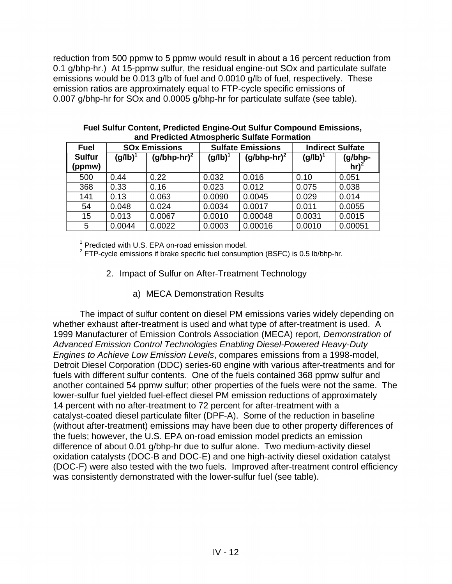reduction from 500 ppmw to 5 ppmw would result in about a 16 percent reduction from 0.1 g/bhp-hr.) At 15-ppmw sulfur, the residual engine-out SOx and particulate sulfate emissions would be 0.013 g/lb of fuel and 0.0010 g/lb of fuel, respectively. These emission ratios are approximately equal to FTP-cycle specific emissions of 0.007 g/bhp-hr for SOx and 0.0005 g/bhp-hr for particulate sulfate (see table).

| <b>Fuel</b>             | <b>SOx Emissions</b> |                 | <b>Sulfate Emissions</b> |                 | <b>Indirect Sulfate</b> |                    |
|-------------------------|----------------------|-----------------|--------------------------|-----------------|-------------------------|--------------------|
| <b>Sulfur</b><br>(ppmw) | (g/lb)               | (g/bhp-hr) $^2$ | (g/lb)                   | (g/bhp-hr) $^2$ | (g/lb)                  | (g/bhp-<br>$hr)^2$ |
| 500                     | 0.44                 | 0.22            | 0.032                    | 0.016           | 0.10                    | 0.051              |
| 368                     | 0.33                 | 0.16            | 0.023                    | 0.012           | 0.075                   | 0.038              |
| 141                     | 0.13                 | 0.063           | 0.0090                   | 0.0045          | 0.029                   | 0.014              |
| 54                      | 0.048                | 0.024           | 0.0034                   | 0.0017          | 0.011                   | 0.0055             |
| 15                      | 0.013                | 0.0067          | 0.0010                   | 0.00048         | 0.0031                  | 0.0015             |
| 5                       | 0.0044               | 0.0022          | 0.0003                   | 0.00016         | 0.0010                  | 0.00051            |

**Fuel Sulfur Content, Predicted Engine-Out Sulfur Compound Emissions, and Predicted Atmospheric Sulfate Formation** 

<sup>1</sup> Predicted with U.S. EPA on-road emission model.

 $2$  FTP-cycle emissions if brake specific fuel consumption (BSFC) is 0.5 lb/bhp-hr.

- 2. Impact of Sulfur on After-Treatment Technology
	- a) MECA Demonstration Results

The impact of sulfur content on diesel PM emissions varies widely depending on whether exhaust after-treatment is used and what type of after-treatment is used. A 1999 Manufacturer of Emission Controls Association (MECA) report, *Demonstration of Advanced Emission Control Technologies Enabling Diesel-Powered Heavy-Duty Engines to Achieve Low Emission Levels*, compares emissions from a 1998-model, Detroit Diesel Corporation (DDC) series-60 engine with various after-treatments and for fuels with different sulfur contents. One of the fuels contained 368 ppmw sulfur and another contained 54 ppmw sulfur; other properties of the fuels were not the same. The lower-sulfur fuel yielded fuel-effect diesel PM emission reductions of approximately 14 percent with no after-treatment to 72 percent for after-treatment with a catalyst-coated diesel particulate filter (DPF-A). Some of the reduction in baseline (without after-treatment) emissions may have been due to other property differences of the fuels; however, the U.S. EPA on-road emission model predicts an emission difference of about 0.01 g/bhp-hr due to sulfur alone. Two medium-activity diesel oxidation catalysts (DOC-B and DOC-E) and one high-activity diesel oxidation catalyst (DOC-F) were also tested with the two fuels. Improved after-treatment control efficiency was consistently demonstrated with the lower-sulfur fuel (see table).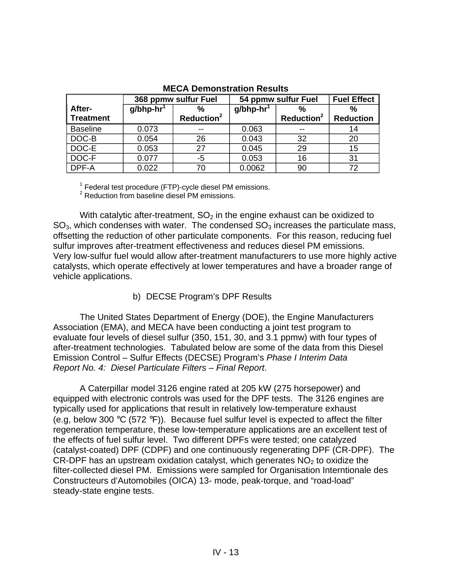|                  |                          | 368 ppmw sulfur Fuel   | 54 ppmw sulfur Fuel      | <b>Fuel Effect</b>     |                  |  |
|------------------|--------------------------|------------------------|--------------------------|------------------------|------------------|--|
| After-           | $g/b$ hp-hr <sup>1</sup> | $\frac{0}{0}$          | $g/b$ hp-hr <sup>1</sup> | %                      | %                |  |
| <b>Treatment</b> |                          | Reduction <sup>2</sup> |                          | Reduction <sup>2</sup> | <b>Reduction</b> |  |
| <b>Baseline</b>  | 0.073                    |                        | 0.063                    | --                     | 14               |  |
| DOC-B            | 0.054                    | 26                     | 0.043                    | 32                     | 20               |  |
| DOC-E            | 0.053                    | 27                     | 0.045                    | 29                     | 15               |  |
| DOC-F            | 0.077                    | -5                     | 0.053                    | 16                     | 31               |  |
| DPF-A            | 0.022                    | 70                     | 0.0062                   | 90                     | 72               |  |

#### **MECA Demonstration Results**

 $^{\rm 1}$  Federal test procedure (FTP)-cycle diesel PM emissions.<br><sup>2</sup> Reduction from baseline diesel PM emissions.

With catalytic after-treatment,  $SO<sub>2</sub>$  in the engine exhaust can be oxidized to  $SO<sub>3</sub>$ , which condenses with water. The condensed  $SO<sub>3</sub>$  increases the particulate mass, offsetting the reduction of other particulate components. For this reason, reducing fuel sulfur improves after-treatment effectiveness and reduces diesel PM emissions. Very low-sulfur fuel would allow after-treatment manufacturers to use more highly active catalysts, which operate effectively at lower temperatures and have a broader range of vehicle applications.

# b) DECSE Program's DPF Results

The United States Department of Energy (DOE), the Engine Manufacturers Association (EMA), and MECA have been conducting a joint test program to evaluate four levels of diesel sulfur (350, 151, 30, and 3.1 ppmw) with four types of after-treatment technologies. Tabulated below are some of the data from this Diesel Emission Control – Sulfur Effects (DECSE) Program's *Phase I Interim Data Report No. 4: Diesel Particulate Filters – Final Report*.

A Caterpillar model 3126 engine rated at 205 kW (275 horsepower) and equipped with electronic controls was used for the DPF tests. The 3126 engines are typically used for applications that result in relatively low-temperature exhaust (e.g, below 300  $\degree$ C (572  $\degree$ F)). Because fuel sulfur level is expected to affect the filter regeneration temperature, these low-temperature applications are an excellent test of the effects of fuel sulfur level. Two different DPFs were tested; one catalyzed (catalyst-coated) DPF (CDPF) and one continuously regenerating DPF (CR-DPF). The CR-DPF has an upstream oxidation catalyst, which generates  $NO<sub>2</sub>$  to oxidize the filter-collected diesel PM. Emissions were sampled for Organisation Interntionale des Constructeurs d'Automobiles (OICA) 13- mode, peak-torque, and "road-load" steady-state engine tests.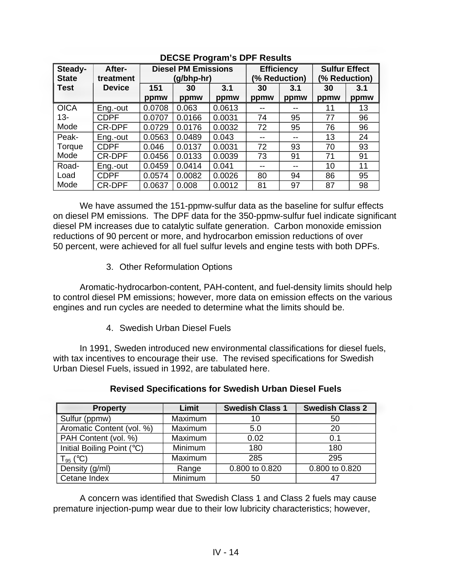| Steady-      | After-        | <b>Diesel PM Emissions</b> |            | <b>Efficiency</b> |               | <b>Sulfur Effect</b> |               |      |
|--------------|---------------|----------------------------|------------|-------------------|---------------|----------------------|---------------|------|
| <b>State</b> | treatment     |                            | (g/bhp-hr) |                   | (% Reduction) |                      | (% Reduction) |      |
| <b>Test</b>  | <b>Device</b> | 151                        | 30         | 3.1               | 30            | 3.1                  | 30            | 3.1  |
|              |               | ppmw                       | ppmw       | ppmw              | ppmw          | ppmw                 | ppmw          | ppmw |
| <b>OICA</b>  | Eng.-out      | 0.0708                     | 0.063      | 0.0613            | --            | --                   | 11            | 13   |
| $13 -$       | <b>CDPF</b>   | 0.0707                     | 0.0166     | 0.0031            | 74            | 95                   | 77            | 96   |
| Mode         | <b>CR-DPF</b> | 0.0729                     | 0.0176     | 0.0032            | 72            | 95                   | 76            | 96   |
| Peak-        | Eng.-out      | 0.0563                     | 0.0489     | 0.043             | --            | --                   | 13            | 24   |
| Torque       | <b>CDPF</b>   | 0.046                      | 0.0137     | 0.0031            | 72            | 93                   | 70            | 93   |
| Mode         | CR-DPF        | 0.0456                     | 0.0133     | 0.0039            | 73            | 91                   | 71            | 91   |
| Road-        | Eng.-out      | 0.0459                     | 0.0414     | 0.041             |               | --                   | 10            | 11   |
| Load         | <b>CDPF</b>   | 0.0574                     | 0.0082     | 0.0026            | 80            | 94                   | 86            | 95   |
| Mode         | <b>CR-DPF</b> | 0.0637                     | 0.008      | 0.0012            | 81            | 97                   | 87            | 98   |

# **DECSE Program's DPF Results**

We have assumed the 151-ppmw-sulfur data as the baseline for sulfur effects on diesel PM emissions. The DPF data for the 350-ppmw-sulfur fuel indicate significant diesel PM increases due to catalytic sulfate generation. Carbon monoxide emission reductions of 90 percent or more, and hydrocarbon emission reductions of over 50 percent, were achieved for all fuel sulfur levels and engine tests with both DPFs.

3. Other Reformulation Options

Aromatic-hydrocarbon-content, PAH-content, and fuel-density limits should help to control diesel PM emissions; however, more data on emission effects on the various engines and run cycles are needed to determine what the limits should be.

4. Swedish Urban Diesel Fuels

In 1991, Sweden introduced new environmental classifications for diesel fuels, with tax incentives to encourage their use. The revised specifications for Swedish Urban Diesel Fuels, issued in 1992, are tabulated here.

| <b>Property</b>            | Limit   | <b>Swedish Class 1</b> | <b>Swedish Class 2</b> |
|----------------------------|---------|------------------------|------------------------|
| Sulfur (ppmw)              | Maximum | 10                     | 50                     |
| Aromatic Content (vol. %)  | Maximum | 5.0                    | 20                     |
| PAH Content (vol. %)       | Maximum | 0.02                   | 0.1                    |
| Initial Boiling Point (°C) | Minimum | 180                    | 180                    |
| $T_{95}$ (°C)              | Maximum | 285                    | 295                    |
| Density (g/ml)             | Range   | 0.800 to 0.820         | 0.800 to 0.820         |
| Cetane Index               | Minimum | 50                     |                        |

## **Revised Specifications for Swedish Urban Diesel Fuels**

A concern was identified that Swedish Class 1 and Class 2 fuels may cause premature injection-pump wear due to their low lubricity characteristics; however,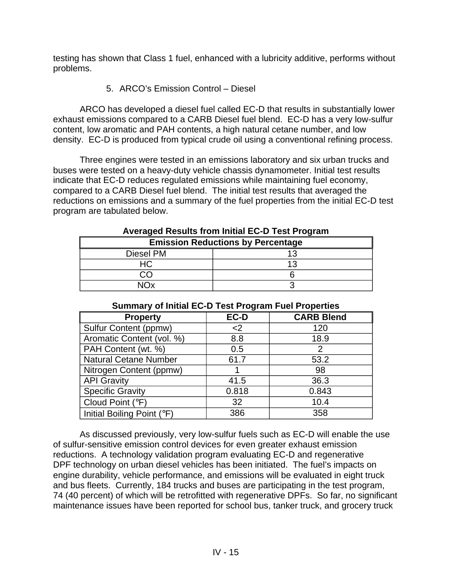testing has shown that Class 1 fuel, enhanced with a lubricity additive, performs without problems.

5. ARCO's Emission Control – Diesel

ARCO has developed a diesel fuel called EC-D that results in substantially lower exhaust emissions compared to a CARB Diesel fuel blend. EC-D has a very low-sulfur content, low aromatic and PAH contents, a high natural cetane number, and low density. EC-D is produced from typical crude oil using a conventional refining process.

Three engines were tested in an emissions laboratory and six urban trucks and buses were tested on a heavy-duty vehicle chassis dynamometer. Initial test results indicate that EC-D reduces regulated emissions while maintaining fuel economy, compared to a CARB Diesel fuel blend. The initial test results that averaged the reductions on emissions and a summary of the fuel properties from the initial EC-D test program are tabulated below.

| <b>Emission Reductions by Percentage</b> |  |  |  |  |
|------------------------------------------|--|--|--|--|
| Diesel PM                                |  |  |  |  |
|                                          |  |  |  |  |
|                                          |  |  |  |  |
|                                          |  |  |  |  |

## **Averaged Results from Initial EC-D Test Program**

| <b>Property</b>              | EC-D  | <b>CARB Blend</b> |  |  |  |
|------------------------------|-------|-------------------|--|--|--|
| <b>Sulfur Content (ppmw)</b> | $2$   | 120               |  |  |  |
| Aromatic Content (vol. %)    | 8.8   | 18.9              |  |  |  |
| PAH Content (wt. %)          | 0.5   |                   |  |  |  |
| <b>Natural Cetane Number</b> | 61.7  | 53.2              |  |  |  |
| Nitrogen Content (ppmw)      |       | 98                |  |  |  |
| <b>API Gravity</b>           | 41.5  | 36.3              |  |  |  |
| <b>Specific Gravity</b>      | 0.818 | 0.843             |  |  |  |
| Cloud Point (°F)             | 32    | 10.4              |  |  |  |
| Initial Boiling Point (°F)   | 386   | 358               |  |  |  |

#### **Summary of Initial EC-D Test Program Fuel Properties**

As discussed previously, very low-sulfur fuels such as EC-D will enable the use of sulfur-sensitive emission control devices for even greater exhaust emission reductions. A technology validation program evaluating EC-D and regenerative DPF technology on urban diesel vehicles has been initiated. The fuel's impacts on engine durability, vehicle performance, and emissions will be evaluated in eight truck and bus fleets. Currently, 184 trucks and buses are participating in the test program, 74 (40 percent) of which will be retrofitted with regenerative DPFs. So far, no significant maintenance issues have been reported for school bus, tanker truck, and grocery truck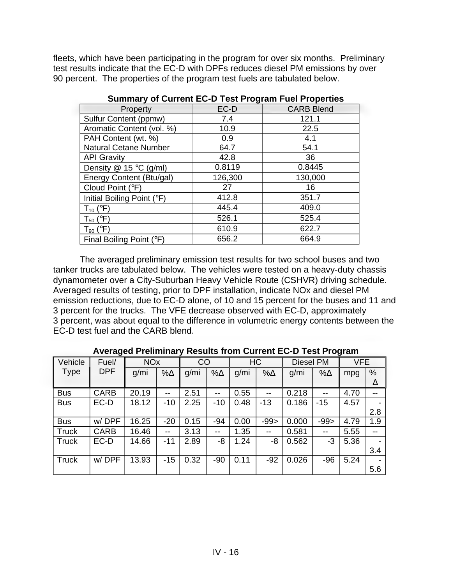fleets, which have been participating in the program for over six months. Preliminary test results indicate that the EC-D with DPFs reduces diesel PM emissions by over 90 percent. The properties of the program test fuels are tabulated below.

| Property                     | EC-D    | <b>CARB Blend</b> |
|------------------------------|---------|-------------------|
| Sulfur Content (ppmw)        | 7.4     | 121.1             |
| Aromatic Content (vol. %)    | 10.9    | 22.5              |
| PAH Content (wt. %)          | 0.9     | 4.1               |
| <b>Natural Cetane Number</b> | 64.7    | 54.1              |
| <b>API Gravity</b>           | 42.8    | 36                |
| Density $@$ 15 °C (g/ml)     | 0.8119  | 0.8445            |
| Energy Content (Btu/gal)     | 126,300 | 130,000           |
| Cloud Point (°F)             | 27      | 16                |
| Initial Boiling Point (°F)   | 412.8   | 351.7             |
| $T_{10}$ ( ${}^{\circ}$ F)   | 445.4   | 409.0             |
| $T_{50}$ ( ${}^{\circ}$ F)   | 526.1   | 525.4             |
| $T_{90}$ ( $\circ$ F)        | 610.9   | 622.7             |
| Final Boiling Point (°F)     | 656.2   | 664.9             |

**Summary of Current EC-D Test Program Fuel Properties** 

The averaged preliminary emission test results for two school buses and two tanker trucks are tabulated below. The vehicles were tested on a heavy-duty chassis dynamometer over a City-Suburban Heavy Vehicle Route (CSHVR) driving schedule. Averaged results of testing, prior to DPF installation, indicate NOx and diesel PM emission reductions, due to EC-D alone, of 10 and 15 percent for the buses and 11 and 3 percent for the trucks. The VFE decrease observed with EC-D, approximately 3 percent, was about equal to the difference in volumetric energy contents between the EC-D test fuel and the CARB blend.

|              | ັ           |                       |                          |      |             |      |                          |           |             | $\tilde{\phantom{a}}$ |                          |
|--------------|-------------|-----------------------|--------------------------|------|-------------|------|--------------------------|-----------|-------------|-----------------------|--------------------------|
| Vehicle      | Fuel/       | <b>NO<sub>x</sub></b> |                          | CO   |             |      | HC                       | Diesel PM |             | <b>VFE</b>            |                          |
| Type         | <b>DPF</b>  | g/mi                  | $\% \Delta$              | g/mi | $\% \Delta$ | g/mi | $% \triangle$            | g/mi      | $\% \Delta$ | mpg                   | %                        |
|              |             |                       |                          |      |             |      |                          |           |             |                       | Δ                        |
| <b>Bus</b>   | <b>CARB</b> | 20.19                 | $-$                      | 2.51 | $-$         | 0.55 | $- -$                    | 0.218     | $-$         | 4.70                  | $-$                      |
| <b>Bus</b>   | EC-D        | 18.12                 | $-10$                    | 2.25 | $-10$       | 0.48 | -13                      | 0.186     | $-15$       | 4.57                  | -                        |
|              |             |                       |                          |      |             |      |                          |           |             |                       | 2.8                      |
| <b>Bus</b>   | w/DPF       | 16.25                 | $-20$                    | 0.15 | -94         | 0.00 | $-99$                    | 0.000     | $-99$       | 4.79                  | 1.9                      |
| <b>Truck</b> | <b>CARB</b> | 16.46                 | $\overline{\phantom{m}}$ | 3.13 | --          | 1.35 | $\overline{\phantom{m}}$ | 0.581     | $-$         | 5.55                  | $- -$                    |
| <b>Truck</b> | EC-D        | 14.66                 | $-11$                    | 2.89 | -8          | 1.24 | -8                       | 0.562     | -3          | 5.36                  | -                        |
|              |             |                       |                          |      |             |      |                          |           |             |                       | 3.4                      |
| Truck        | w/DPF       | 13.93                 | $-15$                    | 0.32 | $-90$       | 0.11 | $-92$                    | 0.026     | $-96$       | 5.24                  | $\overline{\phantom{0}}$ |
|              |             |                       |                          |      |             |      |                          |           |             |                       | 5.6                      |

**Averaged Preliminary Results from Current EC-D Test Program**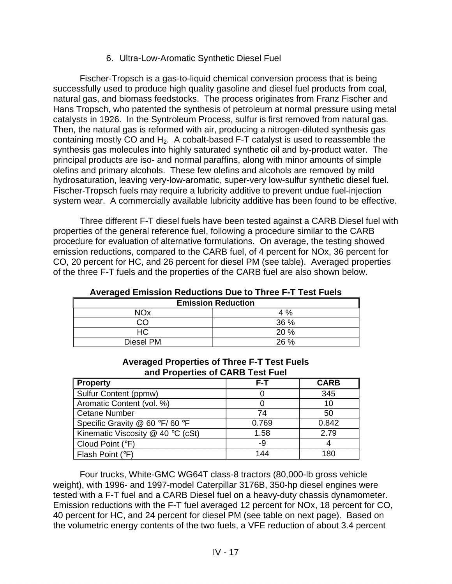6. Ultra-Low-Aromatic Synthetic Diesel Fuel

Fischer-Tropsch is a gas-to-liquid chemical conversion process that is being successfully used to produce high quality gasoline and diesel fuel products from coal, natural gas, and biomass feedstocks. The process originates from Franz Fischer and Hans Tropsch, who patented the synthesis of petroleum at normal pressure using metal catalysts in 1926. In the Syntroleum Process, sulfur is first removed from natural gas. Then, the natural gas is reformed with air, producing a nitrogen-diluted synthesis gas containing mostly  $CO$  and  $H_2$ . A cobalt-based F-T catalyst is used to reassemble the synthesis gas molecules into highly saturated synthetic oil and by-product water. The principal products are iso- and normal paraffins, along with minor amounts of simple olefins and primary alcohols. These few olefins and alcohols are removed by mild hydrosaturation, leaving very-low-aromatic, super-very low-sulfur synthetic diesel fuel. Fischer-Tropsch fuels may require a lubricity additive to prevent undue fuel-injection system wear. A commercially available lubricity additive has been found to be effective.

Three different F-T diesel fuels have been tested against a CARB Diesel fuel with properties of the general reference fuel, following a procedure similar to the CARB procedure for evaluation of alternative formulations. On average, the testing showed emission reductions, compared to the CARB fuel, of 4 percent for NOx, 36 percent for CO, 20 percent for HC, and 26 percent for diesel PM (see table). Averaged properties of the three F-T fuels and the properties of the CARB fuel are also shown below.

| A                         |  |  |  |  |
|---------------------------|--|--|--|--|
| <b>Emission Reduction</b> |  |  |  |  |
| NOx<br>$4\%$              |  |  |  |  |
| 36 %                      |  |  |  |  |
| 20%                       |  |  |  |  |
| 26%                       |  |  |  |  |
|                           |  |  |  |  |

**Averaged Emission Reductions Due to Three F-T Test Fuels** 

| <b>Averaged Properties of Three F-T Test Fuels</b> |
|----------------------------------------------------|
| and Properties of CARB Test Fuel                   |

| <b>Property</b>                   | F-T   | <b>CARB</b> |
|-----------------------------------|-------|-------------|
| Sulfur Content (ppmw)             |       | 345         |
| Aromatic Content (vol. %)         |       | 10          |
| <b>Cetane Number</b>              | 74    | 50          |
| Specific Gravity @ 60 °F/60 °F    | 0.769 | 0.842       |
| Kinematic Viscosity @ 40 °C (cSt) | 1.58  | 2.79        |
| Cloud Point (°F)                  | -9    |             |
| Flash Point (°F)                  | 144   | 180         |

Four trucks, White-GMC WG64T class-8 tractors (80,000-lb gross vehicle weight), with 1996- and 1997-model Caterpillar 3176B, 350-hp diesel engines were tested with a F-T fuel and a CARB Diesel fuel on a heavy-duty chassis dynamometer. Emission reductions with the F-T fuel averaged 12 percent for NOx, 18 percent for CO, 40 percent for HC, and 24 percent for diesel PM (see table on next page). Based on the volumetric energy contents of the two fuels, a VFE reduction of about 3.4 percent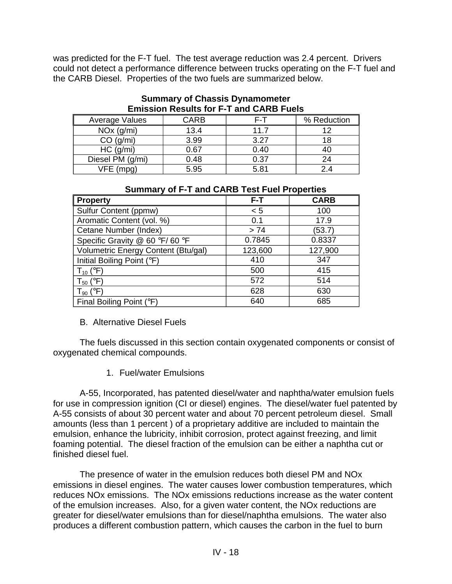was predicted for the F-T fuel. The test average reduction was 2.4 percent. Drivers could not detect a performance difference between trucks operating on the F-T fuel and the CARB Diesel. Properties of the two fuels are summarized below.

| ENNOUVILING GRING TOT THAN WANTS THOUGH |      |      |             |  |  |
|-----------------------------------------|------|------|-------------|--|--|
| Average Values                          | CARB | F-T  | % Reduction |  |  |
| $NOx$ ( $g/ml$ )                        | 13.4 | 11.7 |             |  |  |
| CO (g/min)                              | 3.99 | 3.27 |             |  |  |
| HC (q/ml)                               | 0.67 | 0.40 |             |  |  |
| Diesel PM (g/mi)                        | 0.48 | 0.37 | 24          |  |  |
| VFE (mpg)                               | 5.95 | 5.81 |             |  |  |

#### **Summary of Chassis Dynamometer Emission Results for F-T and CARB Fuels**

| Summary of F-1 and CARB Test Fuel Properties |         |             |  |  |  |  |
|----------------------------------------------|---------|-------------|--|--|--|--|
| <b>Property</b>                              | F-T     | <b>CARB</b> |  |  |  |  |
| Sulfur Content (ppmw)                        | < 5     | 100         |  |  |  |  |
| Aromatic Content (vol. %)                    | 0.1     | 17.9        |  |  |  |  |
| Cetane Number (Index)                        | > 74    | (53.7)      |  |  |  |  |
| Specific Gravity @ 60 °F/60 °F               | 0.7845  | 0.8337      |  |  |  |  |
| Volumetric Energy Content (Btu/gal)          | 123,600 | 127,900     |  |  |  |  |
| Initial Boiling Point (°F)                   | 410     | 347         |  |  |  |  |
| $T_{10}$ (°F)                                | 500     | 415         |  |  |  |  |
| $T_{50}$ ( ${}^{\circ}$ F)                   | 572     | 514         |  |  |  |  |
| $T_{90}$ ( $\circ$ F)                        | 628     | 630         |  |  |  |  |
| Final Boiling Point (°F)                     | 640     | 685         |  |  |  |  |

# **Summary of F-T and CARB Test Fuel Properties**

#### B. Alternative Diesel Fuels

The fuels discussed in this section contain oxygenated components or consist of oxygenated chemical compounds.

1. Fuel/water Emulsions

A-55, Incorporated, has patented diesel/water and naphtha/water emulsion fuels for use in compression ignition (CI or diesel) engines. The diesel/water fuel patented by A-55 consists of about 30 percent water and about 70 percent petroleum diesel. Small amounts (less than 1 percent ) of a proprietary additive are included to maintain the emulsion, enhance the lubricity, inhibit corrosion, protect against freezing, and limit foaming potential. The diesel fraction of the emulsion can be either a naphtha cut or finished diesel fuel.

The presence of water in the emulsion reduces both diesel PM and NOx emissions in diesel engines. The water causes lower combustion temperatures, which reduces NOx emissions. The NOx emissions reductions increase as the water content of the emulsion increases. Also, for a given water content, the NOx reductions are greater for diesel/water emulsions than for diesel/naphtha emulsions. The water also produces a different combustion pattern, which causes the carbon in the fuel to burn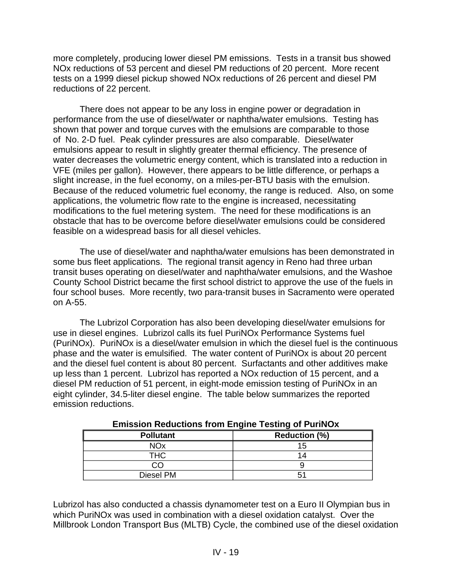more completely, producing lower diesel PM emissions. Tests in a transit bus showed NOx reductions of 53 percent and diesel PM reductions of 20 percent. More recent tests on a 1999 diesel pickup showed NOx reductions of 26 percent and diesel PM reductions of 22 percent.

There does not appear to be any loss in engine power or degradation in performance from the use of diesel/water or naphtha/water emulsions. Testing has shown that power and torque curves with the emulsions are comparable to those of No. 2-D fuel. Peak cylinder pressures are also comparable. Diesel/water emulsions appear to result in slightly greater thermal efficiency. The presence of water decreases the volumetric energy content, which is translated into a reduction in VFE (miles per gallon). However, there appears to be little difference, or perhaps a slight increase, in the fuel economy, on a miles-per-BTU basis with the emulsion. Because of the reduced volumetric fuel economy, the range is reduced. Also, on some applications, the volumetric flow rate to the engine is increased, necessitating modifications to the fuel metering system. The need for these modifications is an obstacle that has to be overcome before diesel/water emulsions could be considered feasible on a widespread basis for all diesel vehicles.

The use of diesel/water and naphtha/water emulsions has been demonstrated in some bus fleet applications. The regional transit agency in Reno had three urban transit buses operating on diesel/water and naphtha/water emulsions, and the Washoe County School District became the first school district to approve the use of the fuels in four school buses. More recently, two para-transit buses in Sacramento were operated on A-55.

The Lubrizol Corporation has also been developing diesel/water emulsions for use in diesel engines. Lubrizol calls its fuel PuriNOx Performance Systems fuel (PuriNOx). PuriNOx is a diesel/water emulsion in which the diesel fuel is the continuous phase and the water is emulsified. The water content of PuriNOx is about 20 percent and the diesel fuel content is about 80 percent. Surfactants and other additives make up less than 1 percent. Lubrizol has reported a NOx reduction of 15 percent, and a diesel PM reduction of 51 percent, in eight-mode emission testing of PuriNOx in an eight cylinder, 34.5-liter diesel engine. The table below summarizes the reported emission reductions.

| <b>Pollutant</b> | <b>Reduction (%)</b> |  |  |  |
|------------------|----------------------|--|--|--|
| NOx              | 15                   |  |  |  |
| тнс              | 14                   |  |  |  |
|                  |                      |  |  |  |
| Diesel PM        | 5                    |  |  |  |

**Emission Reductions from Engine Testing of PuriNOx** 

Lubrizol has also conducted a chassis dynamometer test on a Euro II Olympian bus in which PuriNOx was used in combination with a diesel oxidation catalyst. Over the Millbrook London Transport Bus (MLTB) Cycle, the combined use of the diesel oxidation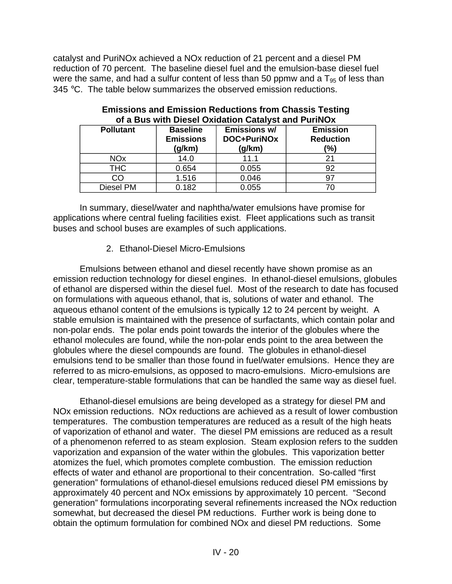catalyst and PuriNOx achieved a NOx reduction of 21 percent and a diesel PM reduction of 70 percent. The baseline diesel fuel and the emulsion-base diesel fuel were the same, and had a sulfur content of less than 50 ppmw and a  $T_{95}$  of less than 345 °C. The table below summarizes the observed emission reductions.

| <b>Pollutant</b>      | <b>Baseline</b><br><b>Emissions</b><br>(g/km) | Emissions w/<br>DOC+PuriNOx<br>(g/km) | <b>Emission</b><br><b>Reduction</b><br>$\frac{9}{6}$ |
|-----------------------|-----------------------------------------------|---------------------------------------|------------------------------------------------------|
| <b>NO<sub>x</sub></b> | 14.0                                          | 11.1                                  |                                                      |
| <b>THC</b>            | 0.654                                         | 0.055                                 | 92                                                   |
| CO                    | 1.516                                         | 0.046                                 |                                                      |
| Diesel PM             | 0.182                                         | 0.055                                 |                                                      |

| <b>Emissions and Emission Reductions from Chassis Testing</b> |  |
|---------------------------------------------------------------|--|
| of a Bus with Diesel Oxidation Catalyst and PuriNOx           |  |

In summary, diesel/water and naphtha/water emulsions have promise for applications where central fueling facilities exist. Fleet applications such as transit buses and school buses are examples of such applications.

## 2. Ethanol-Diesel Micro-Emulsions

Emulsions between ethanol and diesel recently have shown promise as an emission reduction technology for diesel engines. In ethanol-diesel emulsions, globules of ethanol are dispersed within the diesel fuel. Most of the research to date has focused on formulations with aqueous ethanol, that is, solutions of water and ethanol. The aqueous ethanol content of the emulsions is typically 12 to 24 percent by weight. A stable emulsion is maintained with the presence of surfactants, which contain polar and non-polar ends. The polar ends point towards the interior of the globules where the ethanol molecules are found, while the non-polar ends point to the area between the globules where the diesel compounds are found. The globules in ethanol-diesel emulsions tend to be smaller than those found in fuel/water emulsions. Hence they are referred to as micro-emulsions, as opposed to macro-emulsions. Micro-emulsions are clear, temperature-stable formulations that can be handled the same way as diesel fuel.

Ethanol-diesel emulsions are being developed as a strategy for diesel PM and NOx emission reductions. NOx reductions are achieved as a result of lower combustion temperatures. The combustion temperatures are reduced as a result of the high heats of vaporization of ethanol and water. The diesel PM emissions are reduced as a result of a phenomenon referred to as steam explosion. Steam explosion refers to the sudden vaporization and expansion of the water within the globules. This vaporization better atomizes the fuel, which promotes complete combustion. The emission reduction effects of water and ethanol are proportional to their concentration. So-called "first generation" formulations of ethanol-diesel emulsions reduced diesel PM emissions by approximately 40 percent and NOx emissions by approximately 10 percent. "Second generation" formulations incorporating several refinements increased the NOx reduction somewhat, but decreased the diesel PM reductions. Further work is being done to obtain the optimum formulation for combined NOx and diesel PM reductions. Some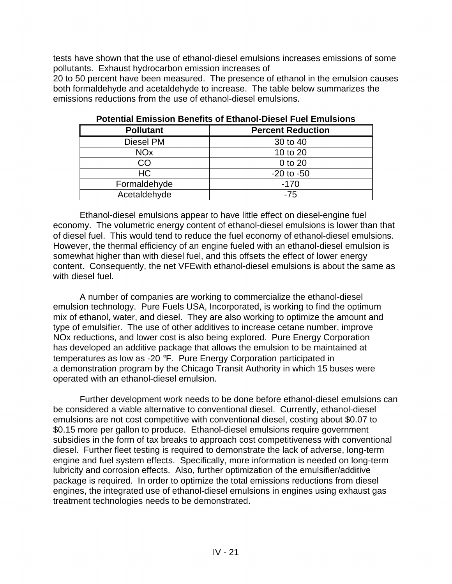tests have shown that the use of ethanol-diesel emulsions increases emissions of some pollutants. Exhaust hydrocarbon emission increases of

20 to 50 percent have been measured. The presence of ethanol in the emulsion causes both formaldehyde and acetaldehyde to increase. The table below summarizes the emissions reductions from the use of ethanol-diesel emulsions.

| <b>Pollutant</b>      | <b>Percent Reduction</b> |
|-----------------------|--------------------------|
| Diesel PM             | 30 to 40                 |
| <b>NO<sub>x</sub></b> | 10 to 20                 |
| CO                    | 0 to 20                  |
| <b>HC</b>             | $-20$ to $-50$           |
| Formaldehyde          | $-170$                   |
| Acetaldehyde          | -75                      |

**Potential Emission Benefits of Ethanol-Diesel Fuel Emulsions** 

Ethanol-diesel emulsions appear to have little effect on diesel-engine fuel economy. The volumetric energy content of ethanol-diesel emulsions is lower than that of diesel fuel. This would tend to reduce the fuel economy of ethanol-diesel emulsions. However, the thermal efficiency of an engine fueled with an ethanol-diesel emulsion is somewhat higher than with diesel fuel, and this offsets the effect of lower energy content. Consequently, the net VFEwith ethanol-diesel emulsions is about the same as with diesel fuel.

A number of companies are working to commercialize the ethanol-diesel emulsion technology. Pure Fuels USA, Incorporated, is working to find the optimum mix of ethanol, water, and diesel. They are also working to optimize the amount and type of emulsifier. The use of other additives to increase cetane number, improve NOx reductions, and lower cost is also being explored. Pure Energy Corporation has developed an additive package that allows the emulsion to be maintained at temperatures as low as -20 °F. Pure Energy Corporation participated in a demonstration program by the Chicago Transit Authority in which 15 buses were operated with an ethanol-diesel emulsion.

Further development work needs to be done before ethanol-diesel emulsions can be considered a viable alternative to conventional diesel. Currently, ethanol-diesel emulsions are not cost competitive with conventional diesel, costing about \$0.07 to \$0.15 more per gallon to produce. Ethanol-diesel emulsions require government subsidies in the form of tax breaks to approach cost competitiveness with conventional diesel. Further fleet testing is required to demonstrate the lack of adverse, long-term engine and fuel system effects. Specifically, more information is needed on long-term lubricity and corrosion effects. Also, further optimization of the emulsifier/additive package is required. In order to optimize the total emissions reductions from diesel engines, the integrated use of ethanol-diesel emulsions in engines using exhaust gas treatment technologies needs to be demonstrated.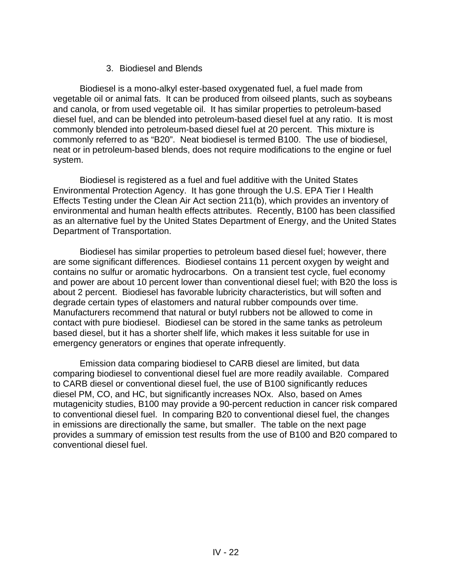## 3. Biodiesel and Blends

Biodiesel is a mono-alkyl ester-based oxygenated fuel, a fuel made from vegetable oil or animal fats. It can be produced from oilseed plants, such as soybeans and canola, or from used vegetable oil. It has similar properties to petroleum-based diesel fuel, and can be blended into petroleum-based diesel fuel at any ratio. It is most commonly blended into petroleum-based diesel fuel at 20 percent. This mixture is commonly referred to as "B20". Neat biodiesel is termed B100. The use of biodiesel, neat or in petroleum-based blends, does not require modifications to the engine or fuel system.

Biodiesel is registered as a fuel and fuel additive with the United States Environmental Protection Agency. It has gone through the U.S. EPA Tier I Health Effects Testing under the Clean Air Act section 211(b), which provides an inventory of environmental and human health effects attributes. Recently, B100 has been classified as an alternative fuel by the United States Department of Energy, and the United States Department of Transportation.

Biodiesel has similar properties to petroleum based diesel fuel; however, there are some significant differences. Biodiesel contains 11 percent oxygen by weight and contains no sulfur or aromatic hydrocarbons. On a transient test cycle, fuel economy and power are about 10 percent lower than conventional diesel fuel; with B20 the loss is about 2 percent. Biodiesel has favorable lubricity characteristics, but will soften and degrade certain types of elastomers and natural rubber compounds over time. Manufacturers recommend that natural or butyl rubbers not be allowed to come in contact with pure biodiesel. Biodiesel can be stored in the same tanks as petroleum based diesel, but it has a shorter shelf life, which makes it less suitable for use in emergency generators or engines that operate infrequently.

Emission data comparing biodiesel to CARB diesel are limited, but data comparing biodiesel to conventional diesel fuel are more readily available. Compared to CARB diesel or conventional diesel fuel, the use of B100 significantly reduces diesel PM, CO, and HC, but significantly increases NOx. Also, based on Ames mutagenicity studies, B100 may provide a 90-percent reduction in cancer risk compared to conventional diesel fuel. In comparing B20 to conventional diesel fuel, the changes in emissions are directionally the same, but smaller. The table on the next page provides a summary of emission test results from the use of B100 and B20 compared to conventional diesel fuel.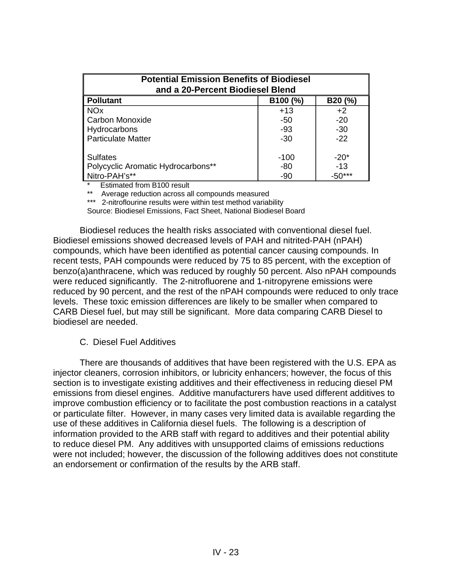| <b>Potential Emission Benefits of Biodiesel</b><br>and a 20-Percent Biodiesel Blend |                    |          |  |  |  |  |  |
|-------------------------------------------------------------------------------------|--------------------|----------|--|--|--|--|--|
| <b>Pollutant</b>                                                                    | B100 (%)<br>B20(%) |          |  |  |  |  |  |
| <b>NO<sub>x</sub></b>                                                               | $+13$              | $+2$     |  |  |  |  |  |
| Carbon Monoxide                                                                     | -50                | $-20$    |  |  |  |  |  |
| Hydrocarbons                                                                        | -93                | $-30$    |  |  |  |  |  |
| <b>Particulate Matter</b>                                                           | $-30$              | $-22$    |  |  |  |  |  |
|                                                                                     |                    |          |  |  |  |  |  |
| <b>Sulfates</b>                                                                     | -100               | $-20*$   |  |  |  |  |  |
| Polycyclic Aromatic Hydrocarbons**                                                  | -80                | $-13$    |  |  |  |  |  |
| Nitro-PAH's**                                                                       | -90                | $-50***$ |  |  |  |  |  |

**Estimated from B100 result** 

Average reduction across all compounds measured

\*\*\* 2-nitroflourine results were within test method variability

Source: Biodiesel Emissions, Fact Sheet, National Biodiesel Board

Biodiesel reduces the health risks associated with conventional diesel fuel. Biodiesel emissions showed decreased levels of PAH and nitrited-PAH (nPAH) compounds, which have been identified as potential cancer causing compounds. In recent tests, PAH compounds were reduced by 75 to 85 percent, with the exception of benzo(a)anthracene, which was reduced by roughly 50 percent. Also nPAH compounds were reduced significantly. The 2-nitrofluorene and 1-nitropyrene emissions were reduced by 90 percent, and the rest of the nPAH compounds were reduced to only trace levels. These toxic emission differences are likely to be smaller when compared to CARB Diesel fuel, but may still be significant. More data comparing CARB Diesel to biodiesel are needed.

#### C. Diesel Fuel Additives

There are thousands of additives that have been registered with the U.S. EPA as injector cleaners, corrosion inhibitors, or lubricity enhancers; however, the focus of this section is to investigate existing additives and their effectiveness in reducing diesel PM emissions from diesel engines. Additive manufacturers have used different additives to improve combustion efficiency or to facilitate the post combustion reactions in a catalyst or particulate filter. However, in many cases very limited data is available regarding the use of these additives in California diesel fuels. The following is a description of information provided to the ARB staff with regard to additives and their potential ability to reduce diesel PM. Any additives with unsupported claims of emissions reductions were not included; however, the discussion of the following additives does not constitute an endorsement or confirmation of the results by the ARB staff.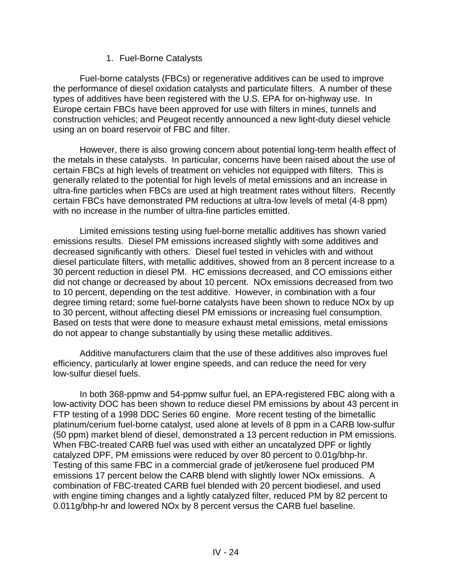## 1. Fuel-Borne Catalysts

Fuel-borne catalysts (FBCs) or regenerative additives can be used to improve the performance of diesel oxidation catalysts and particulate filters. A number of these types of additives have been registered with the U.S. EPA for on-highway use. In Europe certain FBCs have been approved for use with filters in mines, tunnels and construction vehicles; and Peugeot recently announced a new light-duty diesel vehicle using an on board reservoir of FBC and filter.

However, there is also growing concern about potential long-term health effect of the metals in these catalysts. In particular, concerns have been raised about the use of certain FBCs at high levels of treatment on vehicles not equipped with filters. This is generally related to the potential for high levels of metal emissions and an increase in ultra-fine particles when FBCs are used at high treatment rates without filters. Recently certain FBCs have demonstrated PM reductions at ultra-low levels of metal (4-8 ppm) with no increase in the number of ultra-fine particles emitted.

Limited emissions testing using fuel-borne metallic additives has shown varied emissions results. Diesel PM emissions increased slightly with some additives and decreased significantly with others. Diesel fuel tested in vehicles with and without diesel particulate filters, with metallic additives, showed from an 8 percent increase to a 30 percent reduction in diesel PM. HC emissions decreased, and CO emissions either did not change or decreased by about 10 percent. NOx emissions decreased from two to 10 percent, depending on the test additive. However, in combination with a four degree timing retard; some fuel-borne catalysts have been shown to reduce NOx by up to 30 percent, without affecting diesel PM emissions or increasing fuel consumption. Based on tests that were done to measure exhaust metal emissions, metal emissions do not appear to change substantially by using these metallic additives.

Additive manufacturers claim that the use of these additives also improves fuel efficiency, particularly at lower engine speeds, and can reduce the need for very low-sulfur diesel fuels.

In both 368-ppmw and 54-ppmw sulfur fuel, an EPA-registered FBC along with a low-activity DOC has been shown to reduce diesel PM emissions by about 43 percent in FTP testing of a 1998 DDC Series 60 engine. More recent testing of the bimetallic platinum/cerium fuel-borne catalyst, used alone at levels of 8 ppm in a CARB low-sulfur (50 ppm) market blend of diesel, demonstrated a 13 percent reduction in PM emissions. When FBC-treated CARB fuel was used with either an uncatalyzed DPF or lightly catalyzed DPF, PM emissions were reduced by over 80 percent to 0.01g/bhp-hr. Testing of this same FBC in a commercial grade of jet/kerosene fuel produced PM emissions 17 percent below the CARB blend with slightly lower NOx emissions. A combination of FBC-treated CARB fuel blended with 20 percent biodiesel, and used with engine timing changes and a lightly catalyzed filter, reduced PM by 82 percent to 0.011g/bhp-hr and lowered NOx by 8 percent versus the CARB fuel baseline.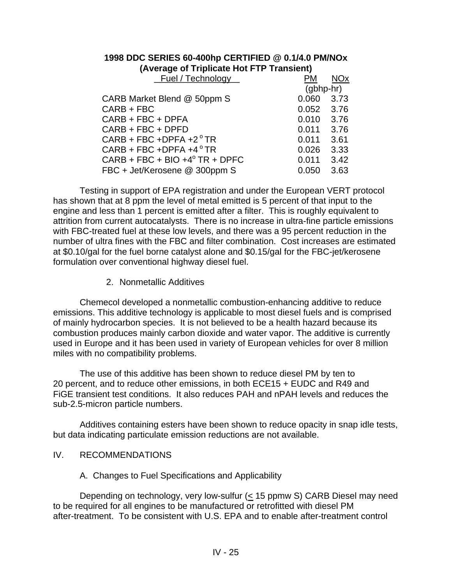## **1998 DDC SERIES 60-400hp CERTIFIED @ 0.1/4.0 PM/NOx (Average of Triplicate Hot FTP Transient)**

| <b>Fuel / Technology</b>          | <b>PM</b>    | <b>NO<sub>x</sub></b> |
|-----------------------------------|--------------|-----------------------|
|                                   | $(gbbbp-hr)$ |                       |
| CARB Market Blend @ 50ppm S       | 0.060        | 3.73                  |
| CARB + FBC                        | 0.052        | 3.76                  |
| CARB + FBC + DPFA                 | 0.010        | 3.76                  |
| CARB + FBC + DPFD                 | 0.011        | 3.76                  |
| $CARB + FBC + DPFA + 2°TR$        | 0.011        | 3.61                  |
| $CARB + FBC + DPFA + 4°TR$        | 0.026        | 3.33                  |
| $CARB + FBC + BIO + 4o TR + DPFC$ | 0.011        | 3.42                  |
| FBC + Jet/Kerosene @ 300ppm S     | 0.050        | 3.63                  |

Testing in support of EPA registration and under the European VERT protocol has shown that at 8 ppm the level of metal emitted is 5 percent of that input to the engine and less than 1 percent is emitted after a filter. This is roughly equivalent to attrition from current autocatalysts. There is no increase in ultra-fine particle emissions with FBC-treated fuel at these low levels, and there was a 95 percent reduction in the number of ultra fines with the FBC and filter combination. Cost increases are estimated at \$0.10/gal for the fuel borne catalyst alone and \$0.15/gal for the FBC-jet/kerosene formulation over conventional highway diesel fuel.

2. Nonmetallic Additives

Chemecol developed a nonmetallic combustion-enhancing additive to reduce emissions. This additive technology is applicable to most diesel fuels and is comprised of mainly hydrocarbon species. It is not believed to be a health hazard because its combustion produces mainly carbon dioxide and water vapor. The additive is currently used in Europe and it has been used in variety of European vehicles for over 8 million miles with no compatibility problems.

The use of this additive has been shown to reduce diesel PM by ten to 20 percent, and to reduce other emissions, in both ECE15 + EUDC and R49 and FiGE transient test conditions. It also reduces PAH and nPAH levels and reduces the sub-2.5-micron particle numbers.

Additives containing esters have been shown to reduce opacity in snap idle tests, but data indicating particulate emission reductions are not available.

- IV. RECOMMENDATIONS
	- A. Changes to Fuel Specifications and Applicability

Depending on technology, very low-sulfur (< 15 ppmw S) CARB Diesel may need to be required for all engines to be manufactured or retrofitted with diesel PM after-treatment. To be consistent with U.S. EPA and to enable after-treatment control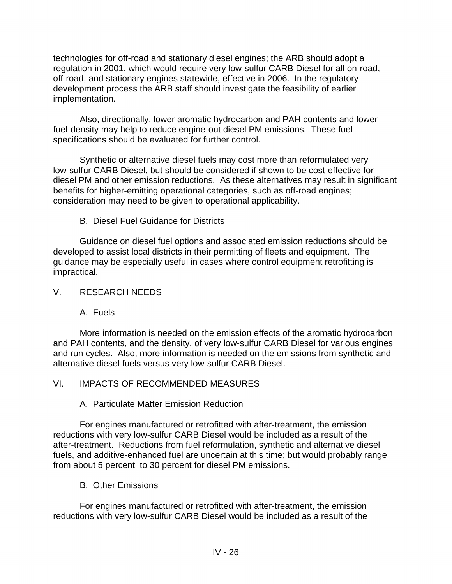technologies for off-road and stationary diesel engines; the ARB should adopt a regulation in 2001, which would require very low-sulfur CARB Diesel for all on-road, off-road, and stationary engines statewide, effective in 2006. In the regulatory development process the ARB staff should investigate the feasibility of earlier implementation.

Also, directionally, lower aromatic hydrocarbon and PAH contents and lower fuel-density may help to reduce engine-out diesel PM emissions. These fuel specifications should be evaluated for further control.

Synthetic or alternative diesel fuels may cost more than reformulated very low-sulfur CARB Diesel, but should be considered if shown to be cost-effective for diesel PM and other emission reductions. As these alternatives may result in significant benefits for higher-emitting operational categories, such as off-road engines; consideration may need to be given to operational applicability.

B. Diesel Fuel Guidance for Districts

Guidance on diesel fuel options and associated emission reductions should be developed to assist local districts in their permitting of fleets and equipment. The guidance may be especially useful in cases where control equipment retrofitting is impractical.

## V. RESEARCH NEEDS

A. Fuels

More information is needed on the emission effects of the aromatic hydrocarbon and PAH contents, and the density, of very low-sulfur CARB Diesel for various engines and run cycles. Also, more information is needed on the emissions from synthetic and alternative diesel fuels versus very low-sulfur CARB Diesel.

## VI. IMPACTS OF RECOMMENDED MEASURES

A. Particulate Matter Emission Reduction

For engines manufactured or retrofitted with after-treatment, the emission reductions with very low-sulfur CARB Diesel would be included as a result of the after-treatment. Reductions from fuel reformulation, synthetic and alternative diesel fuels, and additive-enhanced fuel are uncertain at this time; but would probably range from about 5 percent to 30 percent for diesel PM emissions.

B. Other Emissions

For engines manufactured or retrofitted with after-treatment, the emission reductions with very low-sulfur CARB Diesel would be included as a result of the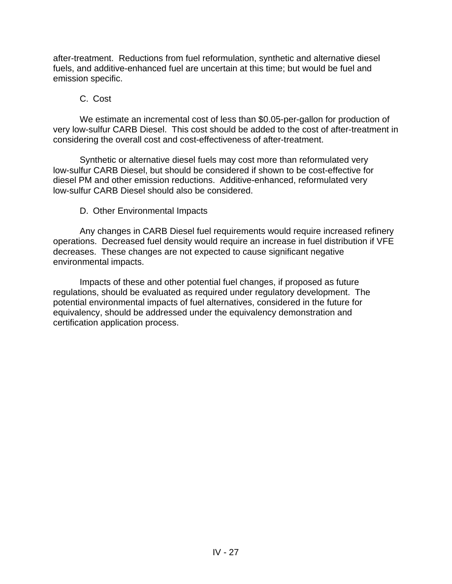after-treatment. Reductions from fuel reformulation, synthetic and alternative diesel fuels, and additive-enhanced fuel are uncertain at this time; but would be fuel and emission specific.

#### C. Cost

We estimate an incremental cost of less than \$0.05-per-gallon for production of very low-sulfur CARB Diesel. This cost should be added to the cost of after-treatment in considering the overall cost and cost-effectiveness of after-treatment.

Synthetic or alternative diesel fuels may cost more than reformulated very low-sulfur CARB Diesel, but should be considered if shown to be cost-effective for diesel PM and other emission reductions. Additive-enhanced, reformulated very low-sulfur CARB Diesel should also be considered.

## D. Other Environmental Impacts

Any changes in CARB Diesel fuel requirements would require increased refinery operations. Decreased fuel density would require an increase in fuel distribution if VFE decreases. These changes are not expected to cause significant negative environmental impacts.

Impacts of these and other potential fuel changes, if proposed as future regulations, should be evaluated as required under regulatory development. The potential environmental impacts of fuel alternatives, considered in the future for equivalency, should be addressed under the equivalency demonstration and certification application process.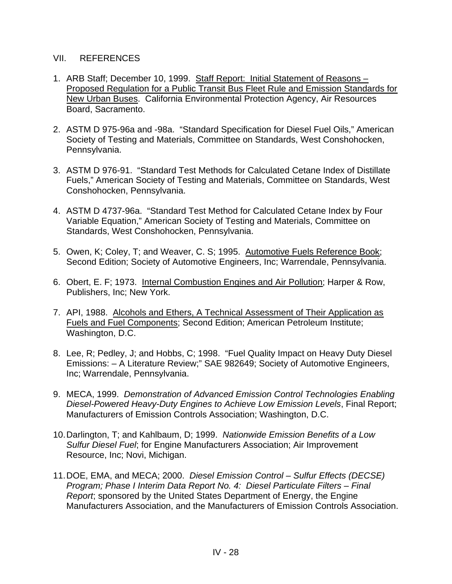#### VII. REFERENCES

- 1. ARB Staff; December 10, 1999. Staff Report: Initial Statement of Reasons Proposed Regulation for a Public Transit Bus Fleet Rule and Emission Standards for New Urban Buses. California Environmental Protection Agency, Air Resources Board, Sacramento.
- 2. ASTM D 975-96a and -98a. "Standard Specification for Diesel Fuel Oils," American Society of Testing and Materials, Committee on Standards, West Conshohocken, Pennsylvania.
- 3. ASTM D 976-91. "Standard Test Methods for Calculated Cetane Index of Distillate Fuels," American Society of Testing and Materials, Committee on Standards, West Conshohocken, Pennsylvania.
- 4. ASTM D 4737-96a. "Standard Test Method for Calculated Cetane Index by Four Variable Equation," American Society of Testing and Materials, Committee on Standards, West Conshohocken, Pennsylvania.
- 5. Owen, K; Coley, T; and Weaver, C. S; 1995. Automotive Fuels Reference Book; Second Edition; Society of Automotive Engineers, Inc; Warrendale, Pennsylvania.
- 6. Obert, E. F; 1973. Internal Combustion Engines and Air Pollution; Harper & Row, Publishers, Inc; New York.
- 7. API, 1988. Alcohols and Ethers, A Technical Assessment of Their Application as Fuels and Fuel Components; Second Edition; American Petroleum Institute; Washington, D.C.
- 8. Lee, R; Pedley, J; and Hobbs, C; 1998. "Fuel Quality Impact on Heavy Duty Diesel Emissions: – A Literature Review;" SAE 982649; Society of Automotive Engineers, Inc; Warrendale, Pennsylvania.
- 9. MECA, 1999. *Demonstration of Advanced Emission Control Technologies Enabling Diesel-Powered Heavy-Duty Engines to Achieve Low Emission Levels*, Final Report; Manufacturers of Emission Controls Association; Washington, D.C.
- 10.Darlington, T; and Kahlbaum, D; 1999. *Nationwide Emission Benefits of a Low Sulfur Diesel Fuel*; for Engine Manufacturers Association; Air Improvement Resource, Inc; Novi, Michigan.
- 11.DOE, EMA, and MECA; 2000. *Diesel Emission Control Sulfur Effects (DECSE) Program; Phase I Interim Data Report No. 4: Diesel Particulate Filters – Final Report*; sponsored by the United States Department of Energy, the Engine Manufacturers Association, and the Manufacturers of Emission Controls Association.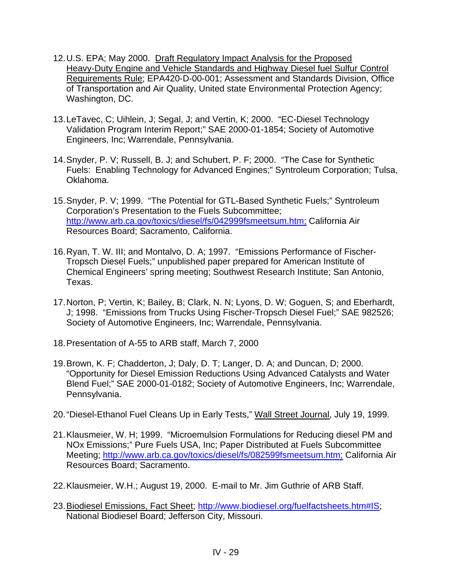- 12.U.S. EPA; May 2000. Draft Regulatory Impact Analysis for the Proposed Heavy-Duty Engine and Vehicle Standards and Highway Diesel fuel Sulfur Control Requirements Rule; EPA420-D-00-001; Assessment and Standards Division, Office of Transportation and Air Quality, United state Environmental Protection Agency; Washington, DC.
- 13.LeTavec, C; Uihlein, J; Segal, J; and Vertin, K; 2000. "EC-Diesel Technology Validation Program Interim Report;" SAE 2000-01-1854; Society of Automotive Engineers, Inc; Warrendale, Pennsylvania.
- 14.Snyder, P. V; Russell, B. J; and Schubert, P. F; 2000. "The Case for Synthetic Fuels: Enabling Technology for Advanced Engines;" Syntroleum Corporation; Tulsa, Oklahoma.
- 15.Snyder, P. V; 1999. "The Potential for GTL-Based Synthetic Fuels;" Syntroleum Corporation's Presentation to the Fuels Subcommittee; http://www.arb.ca.gov/toxics/diesel/fs/042999fsmeetsum.htm; California Air Resources Board; Sacramento, California.
- 16.Ryan, T. W. III; and Montalvo, D. A; 1997. "Emissions Performance of Fischer-Tropsch Diesel Fuels;" unpublished paper prepared for American Institute of Chemical Engineers' spring meeting; Southwest Research Institute; San Antonio, Texas.
- 17.Norton, P; Vertin, K; Bailey, B; Clark, N. N; Lyons, D. W; Goguen, S; and Eberhardt, J; 1998. "Emissions from Trucks Using Fischer-Tropsch Diesel Fuel;" SAE 982526; Society of Automotive Engineers, Inc; Warrendale, Pennsylvania.
- 18.Presentation of A-55 to ARB staff, March 7, 2000
- 19.Brown, K. F; Chadderton, J; Daly, D. T; Langer, D. A; and Duncan, D; 2000. "Opportunity for Diesel Emission Reductions Using Advanced Catalysts and Water Blend Fuel;" SAE 2000-01-0182; Society of Automotive Engineers, Inc; Warrendale, Pennsylvania.
- 20."Diesel-Ethanol Fuel Cleans Up in Early Tests," Wall Street Journal, July 19, 1999.
- 21.Klausmeier, W. H; 1999. "Microemulsion Formulations for Reducing diesel PM and NOx Emissions;" Pure Fuels USA, Inc; Paper Distributed at Fuels Subcommittee Meeting; http://www.arb.ca.gov/toxics/diesel/fs/082599fsmeetsum.htm; California Air Resources Board; Sacramento.
- 22.Klausmeier, W.H.; August 19, 2000. E-mail to Mr. Jim Guthrie of ARB Staff.
- 23. [Biodiesel Emissions, Fact Sheet; http://www.biodiesel.org/fuelfactsheets.htm#IS;](http://www.biodiesel.org/fuelfactsheets.htm#IS;National) National Biodiesel Board; Jefferson City, Missouri.